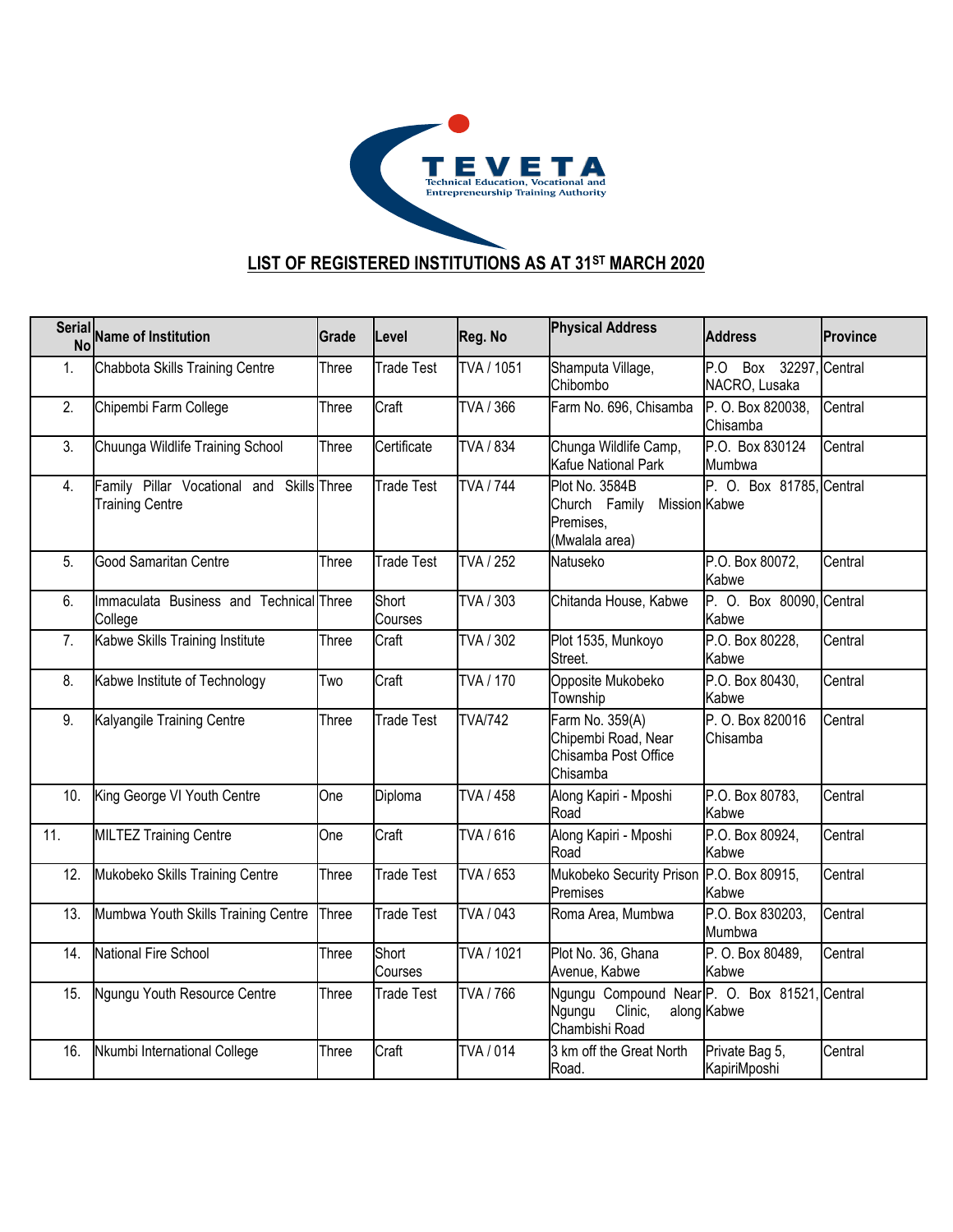

## **LIST OF REGISTERED INSTITUTIONS AS AT 31ST MARCH 2020**

|     | Serial Name of Institution                                          | Grade | Level             | Reg. No          | <b>Physical Address</b>                                                              | <b>Address</b>                             | <b>Province</b> |
|-----|---------------------------------------------------------------------|-------|-------------------|------------------|--------------------------------------------------------------------------------------|--------------------------------------------|-----------------|
| 1.  | Chabbota Skills Training Centre                                     | Three | <b>Trade Test</b> | TVA / 1051       | Shamputa Village,<br>Chibombo                                                        | P.O<br>Box 32297, Central<br>NACRO, Lusaka |                 |
| 2.  | Chipembi Farm College                                               | Three | Craft             | TVA / 366        | Farm No. 696, Chisamba                                                               | P. O. Box 820038,<br>Chisamba              | Central         |
| 3.  | Chuunga Wildlife Training School                                    | Three | Certificate       | TVA / 834        | Chunga Wildlife Camp,<br>Kafue National Park                                         | P.O. Box 830124<br>Mumbwa                  | Central         |
| 4.  | Family Pillar Vocational and Skills Three<br><b>Training Centre</b> |       | <b>Trade Test</b> | <b>TVA / 744</b> | Plot No. 3584B<br>Mission Kabwe<br>Church Family<br>Premises,<br>(Mwalala area)      | P. O. Box 81785, Central                   |                 |
| 5.  | Good Samaritan Centre                                               | Three | <b>Trade Test</b> | TVA / 252        | Natuseko                                                                             | P.O. Box 80072,<br>Kabwe                   | Central         |
| 6.  | Immaculata Business and Technical Three<br>College                  |       | Short<br>Courses  | TVA / 303        | Chitanda House, Kabwe                                                                | P. O. Box 80090, Central<br>Kabwe          |                 |
| 7.  | Kabwe Skills Training Institute                                     | Three | Craft             | TVA / 302        | Plot 1535, Munkoyo<br>Street.                                                        | P.O. Box 80228,<br>Kabwe                   | Central         |
| 8.  | Kabwe Institute of Technology                                       | Two   | Craft             | TVA / 170        | Opposite Mukobeko<br>Township                                                        | P.O. Box 80430,<br><b>Kabwe</b>            | Central         |
| 9.  | Kalyangile Training Centre                                          | Three | <b>Trade Test</b> | <b>TVA/742</b>   | Farm No. 359(A)<br>Chipembi Road, Near<br>Chisamba Post Office<br>Chisamba           | P. O. Box 820016<br>Chisamba               | Central         |
| 10. | King George VI Youth Centre                                         | One   | Diploma           | TVA / 458        | Along Kapiri - Mposhi<br>Road                                                        | P.O. Box 80783,<br>Kabwe                   | Central         |
| 11. | <b>MILTEZ Training Centre</b>                                       | One   | Craft             | TVA / 616        | Along Kapiri - Mposhi<br>Road                                                        | P.O. Box 80924,<br><b>Kabwe</b>            | Central         |
| 12. | Mukobeko Skills Training Centre                                     | Three | <b>Trade Test</b> | TVA / 653        | Mukobeko Security Prison P.O. Box 80915,<br>Premises                                 | Kabwe                                      | Central         |
| 13. | Mumbwa Youth Skills Training Centre                                 | Three | <b>Trade Test</b> | TVA / 043        | Roma Area, Mumbwa                                                                    | P.O. Box 830203,<br>Mumbwa                 | Central         |
| 14. | National Fire School                                                | Three | Short<br>Courses  | TVA / 1021       | Plot No. 36, Ghana<br>Avenue, Kabwe                                                  | P. O. Box 80489,<br><b>Kabwe</b>           | Central         |
| 15. | Ngungu Youth Resource Centre                                        | Three | Trade Test        | TVA / 766        | Ngungu Compound Near P. O. Box 81521, Central<br>Clinic,<br>Ngungu<br>Chambishi Road | along Kabwe                                |                 |
| 16. | Nkumbi International College                                        | Three | Craft             | TVA / 014        | 3 km off the Great North<br>Road.                                                    | Private Bag 5,<br>KapiriMposhi             | Central         |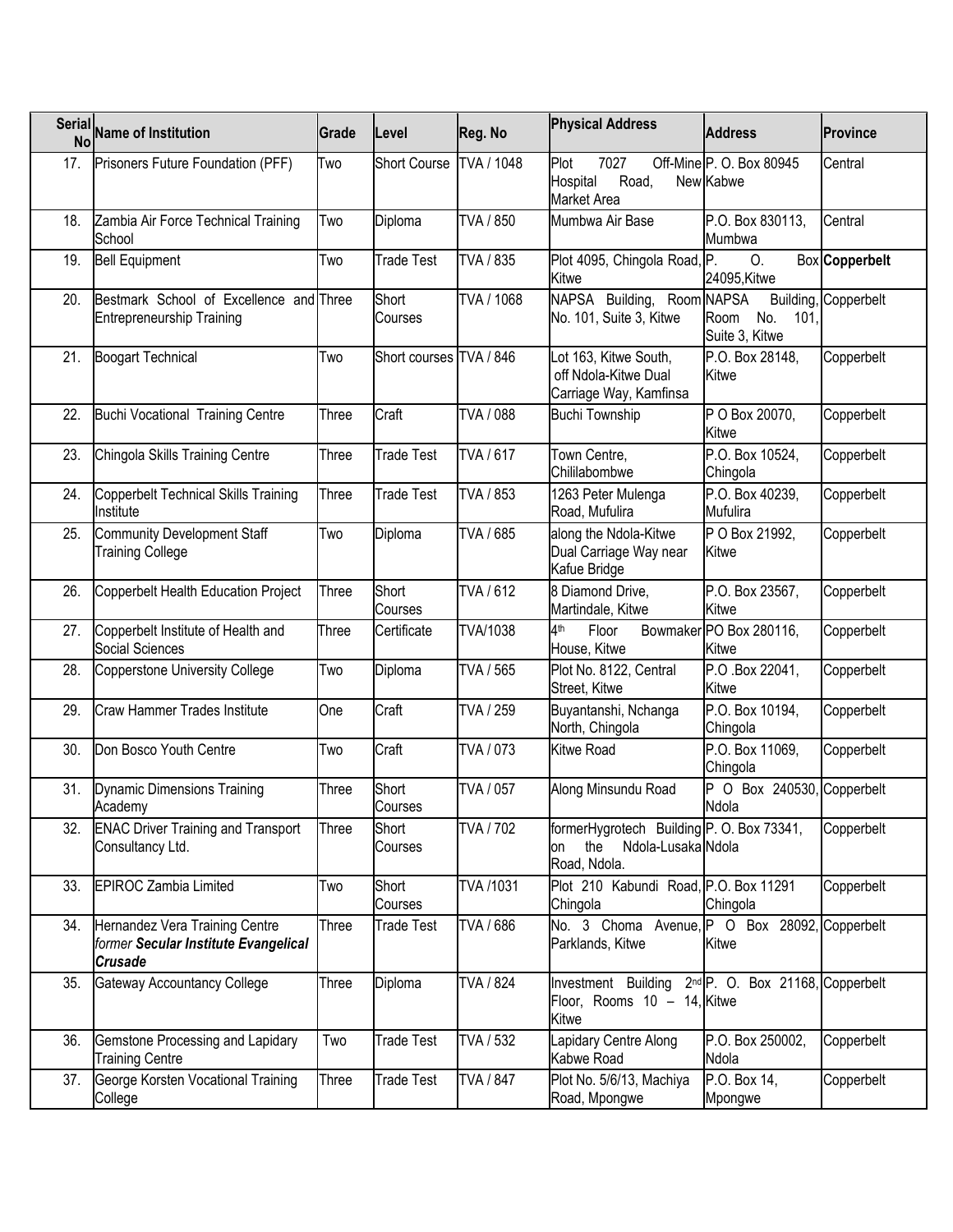|     | Serial Name of Institution                                                               | Grade        | Level                   | Reg. No          | <b>Physical Address</b>                                                                                 | <b>Address</b>                        | <b>Province</b>      |
|-----|------------------------------------------------------------------------------------------|--------------|-------------------------|------------------|---------------------------------------------------------------------------------------------------------|---------------------------------------|----------------------|
| 17. | Prisoners Future Foundation (PFF)                                                        | Two          | <b>Short Course</b>     | TVA / 1048       | Plot<br>7027<br>Hospital<br>Road,<br>Market Area                                                        | Off-Mine P.O. Box 80945<br>New Kabwe  | Central              |
| 18. | Zambia Air Force Technical Training<br>School                                            | Two          | Diploma                 | TVA / 850        | Mumbwa Air Base                                                                                         | P.O. Box 830113.<br>Mumbwa            | Central              |
| 19. | <b>Bell Equipment</b>                                                                    | Two          | <b>Trade Test</b>       | TVA / 835        | Plot 4095, Chingola Road, P.<br>Kitwe                                                                   | 0.<br>24095, Kitwe                    | Box Copperbelt       |
| 20. | Bestmark School of Excellence and Three<br><b>Entrepreneurship Training</b>              |              | Short<br>Courses        | TVA / 1068       | NAPSA Building, Room NAPSA<br>No. 101, Suite 3, Kitwe                                                   | No.<br>Room<br>101.<br>Suite 3, Kitwe | Building, Copperbelt |
| 21. | <b>Boogart Technical</b>                                                                 | Two          | Short courses TVA / 846 |                  | Lot 163, Kitwe South,<br>off Ndola-Kitwe Dual<br>Carriage Way, Kamfinsa                                 | P.O. Box 28148,<br>Kitwe              | Copperbelt           |
| 22. | <b>Buchi Vocational Training Centre</b>                                                  | Three        | Craft                   | TVA / 088        | <b>Buchi Township</b>                                                                                   | P O Box 20070,<br>Kitwe               | Copperbelt           |
| 23. | Chingola Skills Training Centre                                                          | Three        | <b>Trade Test</b>       | TVA / 617        | Town Centre,<br>Chililabombwe                                                                           | P.O. Box 10524,<br>Chingola           | Copperbelt           |
| 24. | Copperbelt Technical Skills Training<br>Institute                                        | Three        | <b>Trade Test</b>       | TVA / 853        | 1263 Peter Mulenga<br>Road, Mufulira                                                                    | P.O. Box 40239,<br>Mufulira           | Copperbelt           |
| 25. | <b>Community Development Staff</b><br><b>Training College</b>                            | Two          | Diploma                 | TVA / 685        | along the Ndola-Kitwe<br>Dual Carriage Way near<br>Kafue Bridge                                         | P O Box 21992,<br>Kitwe               | Copperbelt           |
| 26. | Copperbelt Health Education Project                                                      | Three        | Short<br>Courses        | TVA / 612        | 8 Diamond Drive,<br>Martindale, Kitwe                                                                   | P.O. Box 23567,<br>Kitwe              | Copperbelt           |
| 27. | Copperbelt Institute of Health and<br>Social Sciences                                    | Three        | Certificate             | TVA/1038         | 4 <sup>th</sup><br>Floor<br>House, Kitwe                                                                | Bowmaker PO Box 280116,<br>Kitwe      | Copperbelt           |
| 28. | <b>Copperstone University College</b>                                                    | Two          | Diploma                 | TVA / 565        | Plot No. 8122, Central<br>Street, Kitwe                                                                 | P.O.Box 22041,<br>Kitwe               | Copperbelt           |
| 29. | <b>Craw Hammer Trades Institute</b>                                                      | One          | Craft                   | TVA / 259        | Buyantanshi, Nchanga<br>North, Chingola                                                                 | P.O. Box 10194,<br>Chingola           | Copperbelt           |
| 30. | Don Bosco Youth Centre                                                                   | Two          | Craft                   | TVA / 073        | <b>Kitwe Road</b>                                                                                       | P.O. Box 11069,<br>Chingola           | Copperbelt           |
| 31. | Dynamic Dimensions Training<br>Academy                                                   | Three        | Short<br>Courses        | TVA / 057        | Along Minsundu Road                                                                                     | P O Box 240530, Copperbelt<br>Ndola   |                      |
| 32. | <b>ENAC Driver Training and Transport</b><br>Consultancy Ltd.                            | <b>Three</b> | Short<br>Courses        | TVA / 702        | formerHygrotech Building P. O. Box 73341,<br>Ndola-Lusaka Ndola<br>the<br>on<br>Road, Ndola.            |                                       | Copperbelt           |
| 33. | <b>EPIROC Zambia Limited</b>                                                             | Two          | Short<br>Courses        | TVA /1031        | Plot 210 Kabundi Road, P.O. Box 11291<br>Chingola                                                       | Chingola                              | Copperbelt           |
| 34. | Hernandez Vera Training Centre<br>former Secular Institute Evangelical<br><b>Crusade</b> | Three        | Trade Test              | TVA / 686        | No. 3 Choma Avenue, P O Box 28092, Copperbelt<br>Parklands, Kitwe                                       | Kitwe                                 |                      |
| 35. | Gateway Accountancy College                                                              | Three        | Diploma                 | TVA / 824        | Investment Building 2 <sup>nd</sup> P. O. Box 21168, Copperbelt<br>Floor, Rooms 10 - 14, Kitwe<br>Kitwe |                                       |                      |
| 36. | Gemstone Processing and Lapidary<br><b>Training Centre</b>                               | Two          | <b>Trade Test</b>       | TVA / 532        | Lapidary Centre Along<br>Kabwe Road                                                                     | P.O. Box 250002,<br>Ndola             | Copperbelt           |
| 37. | George Korsten Vocational Training<br>College                                            | Three        | <b>Trade Test</b>       | <b>TVA / 847</b> | Plot No. 5/6/13, Machiya<br>Road, Mpongwe                                                               | P.O. Box 14,<br>Mpongwe               | Copperbelt           |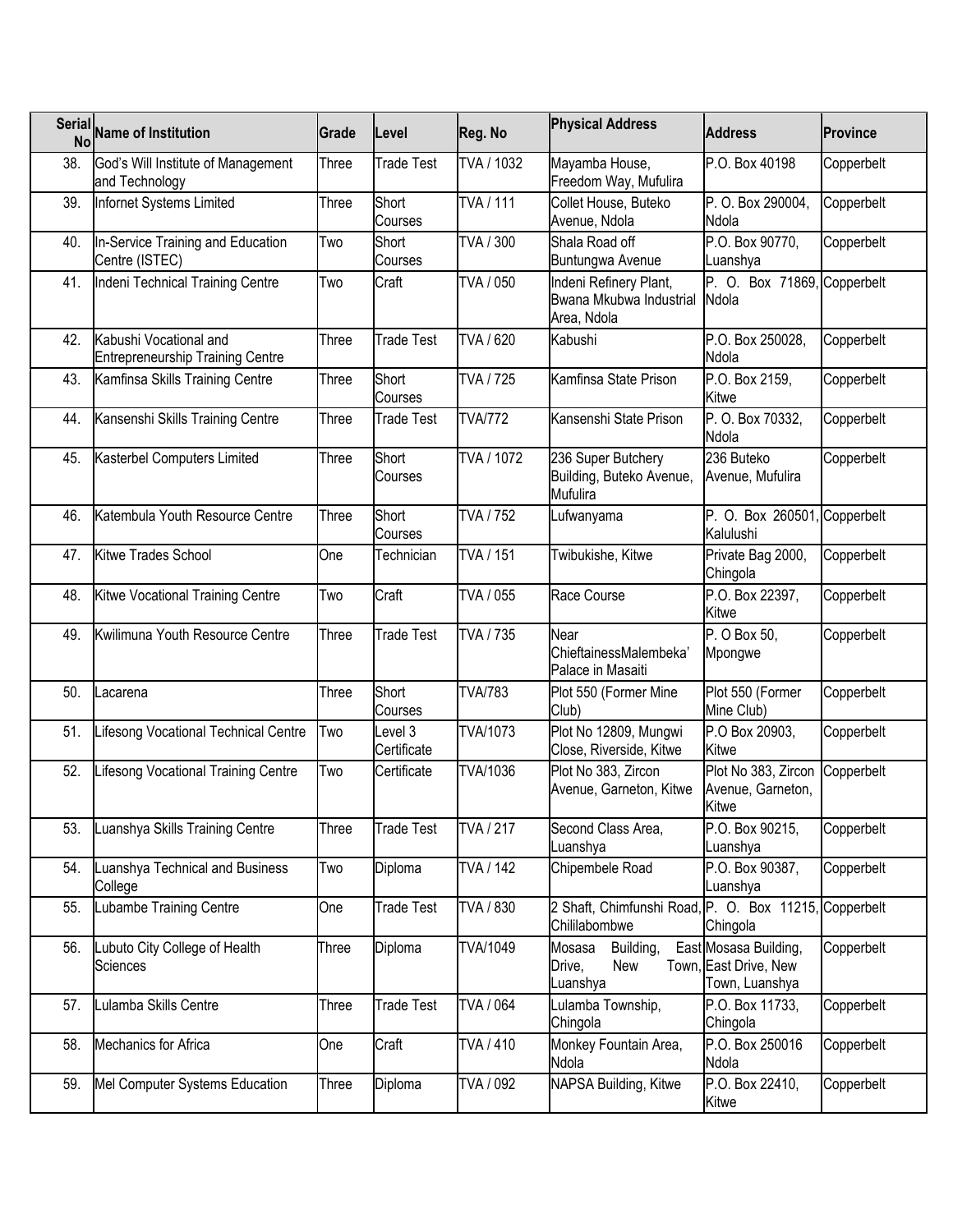| <b>Serial</b><br>No | <b>Name of Institution</b>                                        | Grade | Level                  | Reg. No         | <b>Physical Address</b>                                                | <b>Address</b>                                                   | <b>Province</b> |
|---------------------|-------------------------------------------------------------------|-------|------------------------|-----------------|------------------------------------------------------------------------|------------------------------------------------------------------|-----------------|
| 38.                 | God's Will Institute of Management<br>and Technology              | Three | <b>Trade Test</b>      | TVA / 1032      | Mayamba House,<br>Freedom Way, Mufulira                                | P.O. Box 40198                                                   | Copperbelt      |
| 39.                 | Infornet Systems Limited                                          | Three | Short<br>Courses       | <b>TVA/111</b>  | Collet House, Buteko<br>Avenue, Ndola                                  | P. O. Box 290004,<br>Ndola                                       | Copperbelt      |
| 40.                 | In-Service Training and Education<br>Centre (ISTEC)               | Two   | Short<br>Courses       | TVA / 300       | Shala Road off<br>Buntungwa Avenue                                     | P.O. Box 90770,<br>Luanshya                                      | Copperbelt      |
| 41.                 | Indeni Technical Training Centre                                  | Two   | Craft                  | TVA / 050       | Indeni Refinery Plant,<br>Bwana Mkubwa Industrial<br>Area, Ndola       | P. O. Box 71869, Copperbelt<br>Ndola                             |                 |
| 42.                 | Kabushi Vocational and<br><b>Entrepreneurship Training Centre</b> | Three | <b>Trade Test</b>      | TVA / 620       | Kabushi                                                                | P.O. Box 250028,<br>Ndola                                        | Copperbelt      |
| 43.                 | Kamfinsa Skills Training Centre                                   | Three | Short<br>Courses       | TVA / 725       | Kamfinsa State Prison                                                  | P.O. Box 2159,<br>Kitwe                                          | Copperbelt      |
| 44.                 | Kansenshi Skills Training Centre                                  | Three | Trade Test             | <b>TVA/772</b>  | Kansenshi State Prison                                                 | P. O. Box 70332,<br>Ndola                                        | Copperbelt      |
| 45.                 | Kasterbel Computers Limited                                       | Three | Short<br>Courses       | TVA / 1072      | 236 Super Butchery<br>Building, Buteko Avenue,<br>Mufulira             | 236 Buteko<br>Avenue, Mufulira                                   | Copperbelt      |
| 46.                 | Katembula Youth Resource Centre                                   | Three | Short<br>Courses       | TVA / 752       | Lufwanyama                                                             | P. O. Box 260501<br>Kalulushi                                    | Copperbelt      |
| 47.                 | Kitwe Trades School                                               | One   | Technician             | TVA / 151       | Twibukishe, Kitwe                                                      | Private Bag 2000,<br>Chingola                                    | Copperbelt      |
| 48.                 | Kitwe Vocational Training Centre                                  | Two   | Craft                  | TVA / 055       | Race Course                                                            | P.O. Box 22397,<br>Kitwe                                         | Copperbelt      |
| 49.                 | Kwilimuna Youth Resource Centre                                   | Three | <b>Trade Test</b>      | TVA / 735       | Near<br>ChieftainessMalembeka'<br>Palace in Masaiti                    | P. O Box 50,<br>Mpongwe                                          | Copperbelt      |
| 50.                 | Lacarena                                                          | Three | Short<br>Courses       | <b>TVA/783</b>  | Plot 550 (Former Mine<br>Club)                                         | Plot 550 (Former<br>Mine Club)                                   | Copperbelt      |
| 51.                 | Lifesong Vocational Technical Centre                              | Two   | Level 3<br>Certificate | <b>TVA/1073</b> | Plot No 12809, Mungwi<br>Close, Riverside, Kitwe                       | P.O Box 20903,<br><b>Kitwe</b>                                   | Copperbelt      |
| 52.                 | Lifesong Vocational Training Centre                               | Two   | Certificate            | TVA/1036        | Plot No 383, Zircon<br>Avenue, Garneton, Kitwe                         | Plot No 383, Zircon<br>Avenue, Garneton,<br>Kitwe                | Copperbelt      |
| 53.                 | Luanshya Skills Training Centre                                   | Three | Trade Test             | TVA / 217       | Second Class Area,<br>Luanshya                                         | P.O. Box 90215,<br>Luanshya                                      | Copperbelt      |
| 54.                 | Luanshya Technical and Business<br>College                        | Two   | Diploma                | TVA / 142       | Chipembele Road                                                        | P.O. Box 90387,<br>Luanshya                                      | Copperbelt      |
| 55.                 | Lubambe Training Centre                                           | One   | Trade Test             | TVA / 830       | 2 Shaft, Chimfunshi Road, P. O. Box 11215, Copperbelt<br>Chililabombwe | Chingola                                                         |                 |
| 56.                 | Lubuto City College of Health<br><b>Sciences</b>                  | Three | Diploma                | TVA/1049        | Building,<br>Mosasa<br>New<br>Drive,<br>Luanshya                       | East Mosasa Building,<br>Town, East Drive, New<br>Town, Luanshya | Copperbelt      |
| 57.                 | Lulamba Skills Centre                                             | Three | Trade Test             | TVA / 064       | Lulamba Township,<br>Chingola                                          | P.O. Box 11733,<br>Chingola                                      | Copperbelt      |
| 58.                 | Mechanics for Africa                                              | One   | Craft                  | TVA / 410       | Monkey Fountain Area,<br>Ndola                                         | P.O. Box 250016<br>Ndola                                         | Copperbelt      |
| 59.                 | Mel Computer Systems Education                                    | Three | Diploma                | TVA / 092       | NAPSA Building, Kitwe                                                  | P.O. Box 22410,<br>Kitwe                                         | Copperbelt      |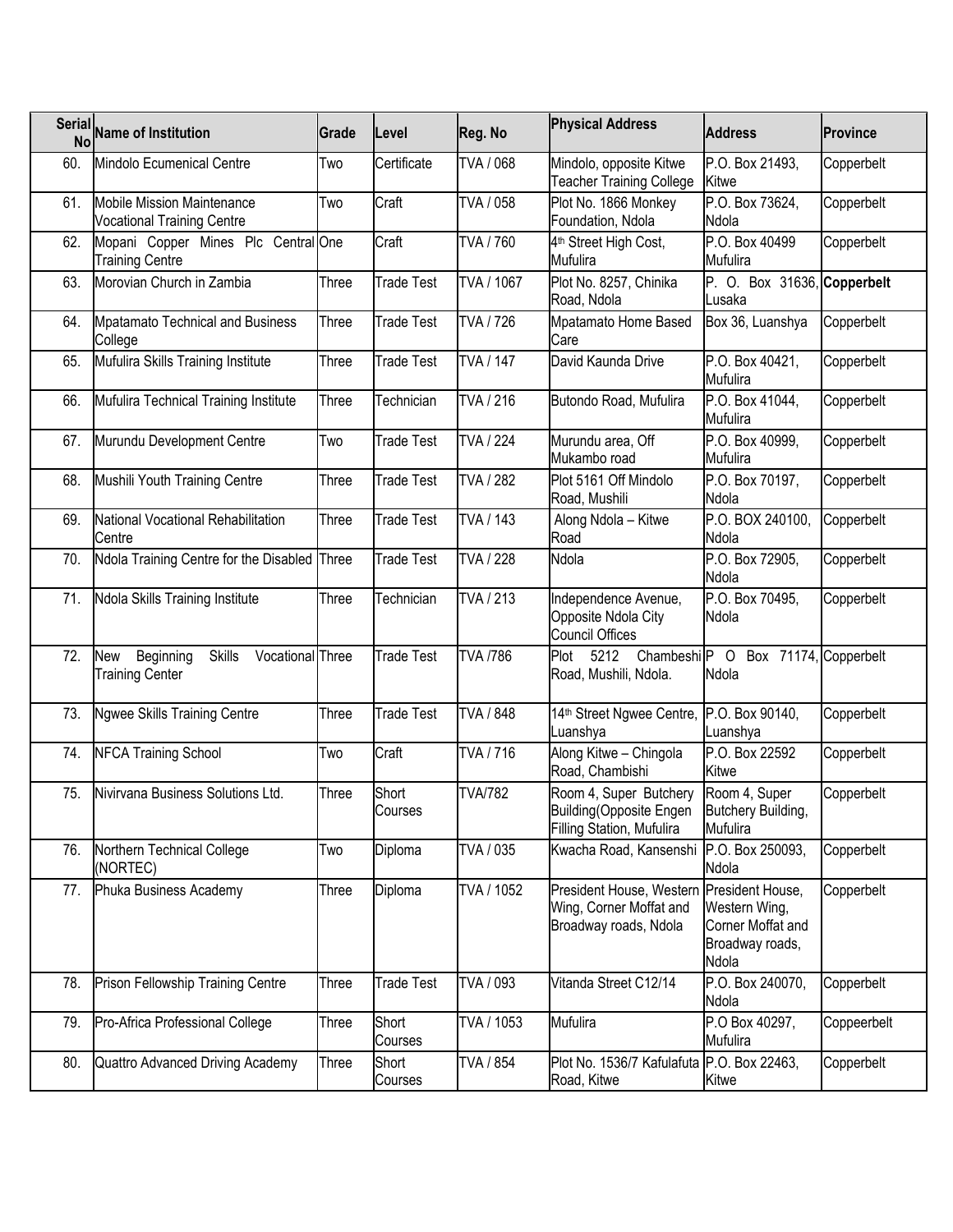| <b>Serial</b><br>No | <b>Name of Institution</b>                                                      | Grade | Level             | Reg. No          | <b>Physical Address</b>                                                                       | <b>Address</b>                                                 | <b>Province</b> |
|---------------------|---------------------------------------------------------------------------------|-------|-------------------|------------------|-----------------------------------------------------------------------------------------------|----------------------------------------------------------------|-----------------|
| 60.                 | Mindolo Ecumenical Centre                                                       | Two   | Certificate       | TVA / 068        | Mindolo, opposite Kitwe<br><b>Teacher Training College</b>                                    | P.O. Box 21493,<br>Kitwe                                       | Copperbelt      |
| 61.                 | <b>Mobile Mission Maintenance</b><br><b>Vocational Training Centre</b>          | Two   | Craft             | TVA / 058        | Plot No. 1866 Monkey<br>Foundation, Ndola                                                     | P.O. Box 73624,<br>Ndola                                       | Copperbelt      |
| 62.                 | Mopani Copper Mines Plc Central One<br><b>Training Centre</b>                   |       | Craft             | TVA / 760        | 4 <sup>th</sup> Street High Cost,<br>Mufulira                                                 | P.O. Box 40499<br>Mufulira                                     | Copperbelt      |
| 63.                 | Morovian Church in Zambia                                                       | Three | <b>Trade Test</b> | TVA / 1067       | Plot No. 8257, Chinika<br>Road, Ndola                                                         | P. O. Box 31636, Copperbelt<br>Lusaka                          |                 |
| 64.                 | <b>Mpatamato Technical and Business</b><br>College                              | Three | Trade Test        | TVA / 726        | Mpatamato Home Based<br>Care                                                                  | Box 36, Luanshya                                               | Copperbelt      |
| 65.                 | Mufulira Skills Training Institute                                              | Three | Trade Test        | <b>TVA / 147</b> | David Kaunda Drive                                                                            | P.O. Box 40421,<br>Mufulira                                    | Copperbelt      |
| 66.                 | Mufulira Technical Training Institute                                           | Three | Technician        | TVA / 216        | Butondo Road, Mufulira                                                                        | P.O. Box 41044,<br>Mufulira                                    | Copperbelt      |
| 67.                 | Murundu Development Centre                                                      | Two   | <b>Trade Test</b> | <b>TVA / 224</b> | Murundu area, Off<br>Mukambo road                                                             | P.O. Box 40999,<br>Mufulira                                    | Copperbelt      |
| 68.                 | Mushili Youth Training Centre                                                   | Three | <b>Trade Test</b> | <b>TVA / 282</b> | Plot 5161 Off Mindolo<br>Road, Mushili                                                        | P.O. Box 70197,<br>Ndola                                       | Copperbelt      |
| 69.                 | National Vocational Rehabilitation<br>Centre                                    | Three | Trade Test        | TVA / 143        | Along Ndola - Kitwe<br>Road                                                                   | P.O. BOX 240100,<br>Ndola                                      | Copperbelt      |
| 70.                 | Ndola Training Centre for the Disabled Three                                    |       | <b>Trade Test</b> | <b>TVA / 228</b> | Ndola                                                                                         | P.O. Box 72905,<br>Ndola                                       | Copperbelt      |
| 71.                 | Ndola Skills Training Institute                                                 | Three | <b>Technician</b> | TVA / 213        | Independence Avenue,<br>Opposite Ndola City<br><b>Council Offices</b>                         | P.O. Box 70495,<br>Ndola                                       | Copperbelt      |
| 72.                 | New<br>Vocational Three<br>Beginning<br><b>Skills</b><br><b>Training Center</b> |       | <b>Trade Test</b> | <b>TVA /786</b>  | Plot<br>5212<br>Road, Mushili, Ndola.                                                         | Chambeshi <sup>p</sup> O Box 71174, Copperbelt<br>Ndola        |                 |
| 73.                 | <b>Ngwee Skills Training Centre</b>                                             | Three | <b>Trade Test</b> | TVA / 848        | 14th Street Ngwee Centre, P.O. Box 90140,<br>Luanshya                                         | Luanshya                                                       | Copperbelt      |
| 74.                 | <b>NFCA Training School</b>                                                     | Two   | Craft             | TVA / 716        | Along Kitwe - Chingola<br>Road, Chambishi                                                     | P.O. Box 22592<br>Kitwe                                        | Copperbelt      |
| 75.                 | Nivirvana Business Solutions Ltd.                                               | Three | Short<br>Courses  | <b>TVA/782</b>   | Room 4, Super Butchery<br>Building(Opposite Engen<br>Filling Station, Mufulira                | Room 4, Super<br>Butchery Building,<br>Mufulira                | Copperbelt      |
| 76.                 | Northern Technical College<br>(NORTEC)                                          | Two   | Diploma           | TVA / 035        | Kwacha Road, Kansenshi                                                                        | P.O. Box 250093,<br>Ndola                                      | Copperbelt      |
| 77.                 | Phuka Business Academy                                                          | Three | Diploma           | TVA / 1052       | President House, Western President House,<br>Wing, Corner Moffat and<br>Broadway roads, Ndola | Western Wing,<br>Corner Moffat and<br>Broadway roads,<br>Ndola | Copperbelt      |
| 78.                 | Prison Fellowship Training Centre                                               | Three | <b>Trade Test</b> | TVA / 093        | Vitanda Street C12/14                                                                         | P.O. Box 240070,<br>Ndola                                      | Copperbelt      |
| 79.                 | Pro-Africa Professional College                                                 | Three | Short<br>Courses  | TVA / 1053       | Mufulira                                                                                      | P.O Box 40297,<br>Mufulira                                     | Coppeerbelt     |
| 80.                 | Quattro Advanced Driving Academy                                                | Three | Short<br>Courses  | TVA / 854        | Plot No. 1536/7 Kafulafuta P.O. Box 22463,<br>Road, Kitwe                                     | Kitwe                                                          | Copperbelt      |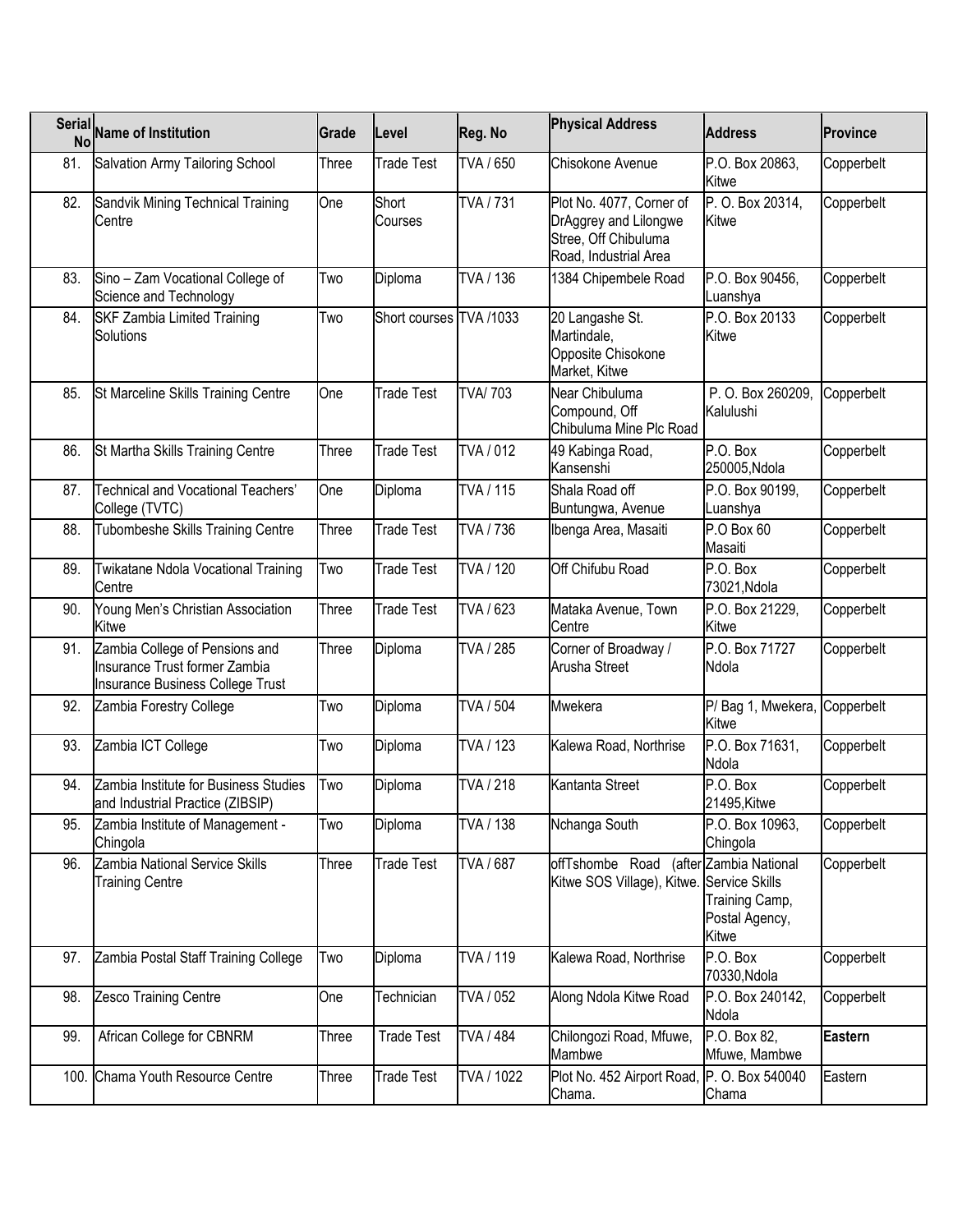|      | Serial Name of Institution                                                                          | Grade | Level                   | Reg. No        | <b>Physical Address</b>                                                                            | <b>Address</b>                                                      | <b>Province</b> |
|------|-----------------------------------------------------------------------------------------------------|-------|-------------------------|----------------|----------------------------------------------------------------------------------------------------|---------------------------------------------------------------------|-----------------|
| 81.  | Salvation Army Tailoring School                                                                     | Three | <b>Trade Test</b>       | TVA / 650      | Chisokone Avenue                                                                                   | P.O. Box 20863,<br>Kitwe                                            | Copperbelt      |
| 82.  | Sandvik Mining Technical Training<br>Centre                                                         | One   | Short<br>Courses        | TVA / 731      | Plot No. 4077, Corner of<br>DrAggrey and Lilongwe<br>Stree, Off Chibuluma<br>Road, Industrial Area | P. O. Box 20314,<br>Kitwe                                           | Copperbelt      |
| 83.  | Sino - Zam Vocational College of<br>Science and Technology                                          | Two   | Diploma                 | TVA / 136      | 1384 Chipembele Road                                                                               | P.O. Box 90456,<br>Luanshya                                         | Copperbelt      |
| 84.  | <b>SKF Zambia Limited Training</b><br>Solutions                                                     | Two   | Short courses TVA /1033 |                | 20 Langashe St.<br>Martindale,<br>Opposite Chisokone<br>Market, Kitwe                              | P.O. Box 20133<br>Kitwe                                             | Copperbelt      |
| 85.  | St Marceline Skills Training Centre                                                                 | One   | <b>Trade Test</b>       | <b>TVA/703</b> | Near Chibuluma<br>Compound, Off<br>Chibuluma Mine Plc Road                                         | P. O. Box 260209,<br>Kalulushi                                      | Copperbelt      |
| 86.  | St Martha Skills Training Centre                                                                    | Three | <b>Trade Test</b>       | TVA / 012      | 49 Kabinga Road,<br>Kansenshi                                                                      | P.O. Box<br>250005, Ndola                                           | Copperbelt      |
| 87.  | Technical and Vocational Teachers'<br>College (TVTC)                                                | One   | Diploma                 | TVA / 115      | Shala Road off<br>Buntungwa, Avenue                                                                | P.O. Box 90199,<br>Luanshya                                         | Copperbelt      |
| 88.  | Tubombeshe Skills Training Centre                                                                   | Three | <b>Trade Test</b>       | TVA / 736      | Ibenga Area, Masaiti                                                                               | P.O Box 60<br>Masaiti                                               | Copperbelt      |
| 89.  | Twikatane Ndola Vocational Training<br>Centre                                                       | Two   | <b>Trade Test</b>       | TVA / 120      | Off Chifubu Road                                                                                   | P.O. Box<br>73021, Ndola                                            | Copperbelt      |
| 90.  | Young Men's Christian Association<br>Kitwe                                                          | Three | <b>Trade Test</b>       | TVA / 623      | Mataka Avenue, Town<br>Centre                                                                      | P.O. Box 21229,<br>Kitwe                                            | Copperbelt      |
| 91.  | Zambia College of Pensions and<br>Insurance Trust former Zambia<br>Insurance Business College Trust | Three | Diploma                 | TVA / 285      | Corner of Broadway /<br><b>Arusha Street</b>                                                       | P.O. Box 71727<br>Ndola                                             | Copperbelt      |
| 92.  | Zambia Forestry College                                                                             | Two   | Diploma                 | TVA / 504      | Mwekera                                                                                            | P/Bag 1, Mwekera,<br>Kitwe                                          | Copperbelt      |
| 93.  | Zambia ICT College                                                                                  | Two   | Diploma                 | TVA / 123      | Kalewa Road, Northrise                                                                             | P.O. Box 71631,<br>Ndola                                            | Copperbelt      |
| 94.  | Zambia Institute for Business Studies<br>and Industrial Practice (ZIBSIP)                           | Two   | Diploma                 | TVA / 218      | Kantanta Street                                                                                    | P.O. Box<br>21495, Kitwe                                            | Copperbelt      |
| 95.  | Zambia Institute of Management -<br>Chingola                                                        | Two   | Diploma                 | TVA / 138      | Nchanga South                                                                                      | P.O. Box 10963,<br>Chingola                                         | Copperbelt      |
| 96.  | Zambia National Service Skills<br><b>Training Centre</b>                                            | Three | <b>Trade Test</b>       | TVA / 687      | offTshombe Road<br>Kitwe SOS Village), Kitwe. Service Skills                                       | (after Zambia National<br>Training Camp,<br>Postal Agency,<br>Kitwe | Copperbelt      |
| 97.  | Zambia Postal Staff Training College                                                                | Two   | Diploma                 | TVA / 119      | Kalewa Road, Northrise                                                                             | P.O. Box<br>70330, Ndola                                            | Copperbelt      |
| 98.  | Zesco Training Centre                                                                               | One   | Technician              | TVA / 052      | Along Ndola Kitwe Road                                                                             | P.O. Box 240142,<br>Ndola                                           | Copperbelt      |
| 99.  | African College for CBNRM                                                                           | Three | <b>Trade Test</b>       | TVA / 484      | Chilongozi Road, Mfuwe,<br>Mambwe                                                                  | P.O. Box 82,<br>Mfuwe, Mambwe                                       | <b>Eastern</b>  |
| 100. | Chama Youth Resource Centre                                                                         | Three | <b>Trade Test</b>       | TVA / 1022     | Plot No. 452 Airport Road,<br>Chama.                                                               | P. O. Box 540040<br>Chama                                           | Eastern         |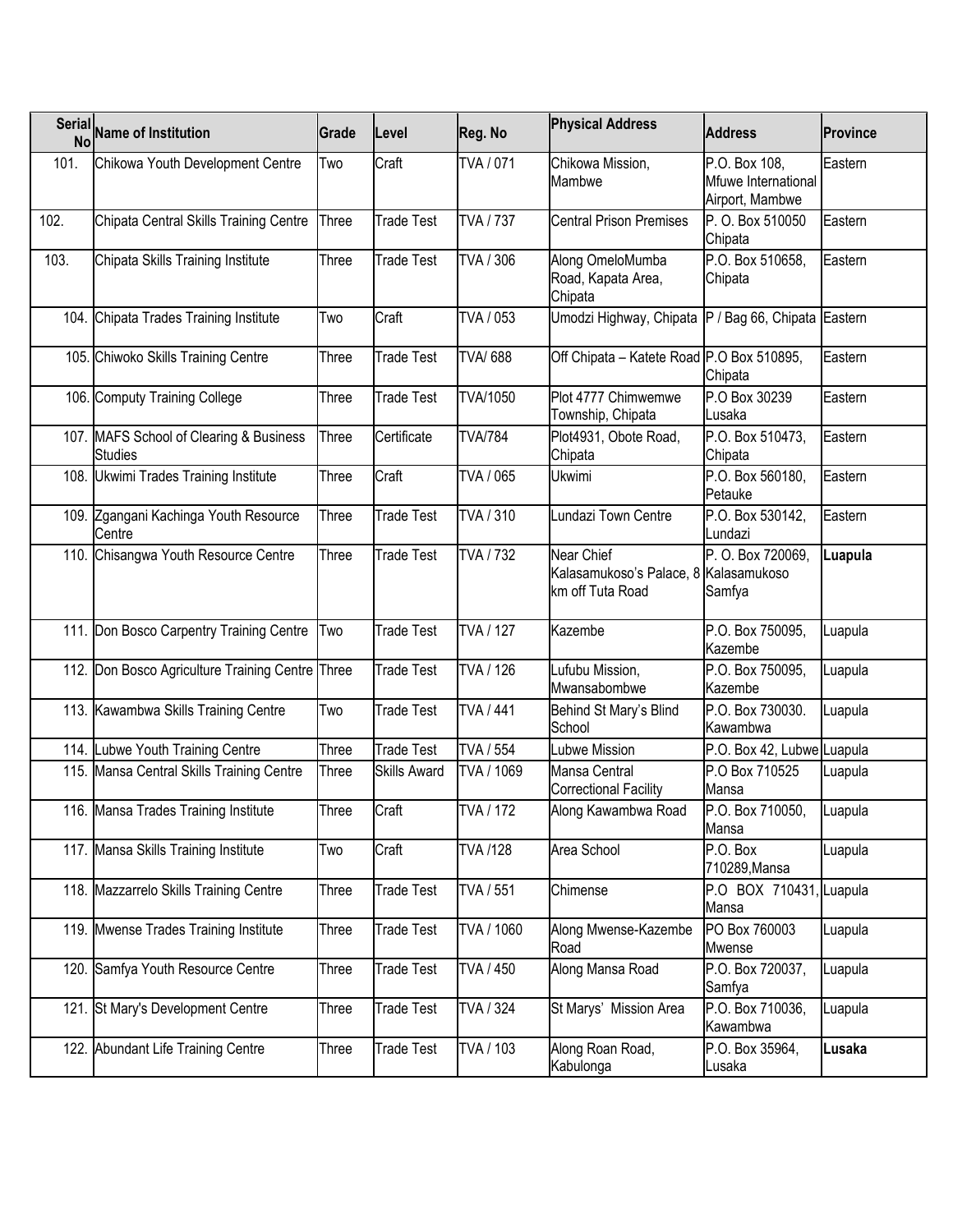|      | Serial Name of Institution                                | Grade | Level             | Reg. No                | <b>Physical Address</b>                                                 | <b>Address</b>                                          | <b>Province</b> |
|------|-----------------------------------------------------------|-------|-------------------|------------------------|-------------------------------------------------------------------------|---------------------------------------------------------|-----------------|
| 101. | Chikowa Youth Development Centre                          | Two   | Craft             | TVA / 071              | Chikowa Mission,<br>Mambwe                                              | P.O. Box 108,<br>Mfuwe International<br>Airport, Mambwe | Eastern         |
| 102. | Chipata Central Skills Training Centre                    | Three | <b>Trade Test</b> | TVA / 737              | <b>Central Prison Premises</b>                                          | P. O. Box 510050<br>Chipata                             | Eastern         |
| 103. | Chipata Skills Training Institute                         | Three | <b>Trade Test</b> | TVA / 306              | Along OmeloMumba<br>Road, Kapata Area,<br>Chipata                       | P.O. Box 510658,<br>Chipata                             | Eastern         |
|      | 104. Chipata Trades Training Institute                    | Two   | Craft             | TVA / 053              | Umodzi Highway, Chipata P / Bag 66, Chipata Eastern                     |                                                         |                 |
|      | 105. Chiwoko Skills Training Centre                       | Three | <b>Trade Test</b> | <b>TVA/688</b>         | Off Chipata - Katete Road P.O Box 510895,                               | Chipata                                                 | Eastern         |
|      | 106. Computy Training College                             | Three | <b>Trade Test</b> | <b>TVA/1050</b>        | Plot 4777 Chimwemwe<br>Township, Chipata                                | P.O Box 30239<br>Lusaka                                 | Eastern         |
|      | 107. MAFS School of Clearing & Business<br><b>Studies</b> | Three | Certificate       | <b>TVA/784</b>         | Plot4931, Obote Road,<br>Chipata                                        | P.O. Box 510473,<br>Chipata                             | Eastern         |
|      | 108. Ukwimi Trades Training Institute                     | Three | Craft             | TVA / 065              | Ukwimi                                                                  | P.O. Box 560180,<br>Petauke                             | Eastern         |
|      | 109. Zgangani Kachinga Youth Resource<br>Centre           | Three | Trade Test        | TVA / 310              | Lundazi Town Centre                                                     | P.O. Box 530142,<br>Lundazi                             | Eastern         |
|      | 110. Chisangwa Youth Resource Centre                      | Three | <b>Trade Test</b> | <b>TVA / 732</b>       | Near Chief<br>Kalasamukoso's Palace, 8 Kalasamukoso<br>km off Tuta Road | P. O. Box 720069,<br>Samfya                             | Luapula         |
|      | 111. Don Bosco Carpentry Training Centre                  | Two   | <b>Trade Test</b> | <b>TVA / 127</b>       | Kazembe                                                                 | P.O. Box 750095,<br>Kazembe                             | Luapula         |
|      | 112. Don Bosco Agriculture Training Centre Three          |       | <b>Trade Test</b> | TVA / 126              | Lufubu Mission,<br>Mwansabombwe                                         | P.O. Box 750095,<br>Kazembe                             | Luapula         |
|      | 113. Kawambwa Skills Training Centre                      | Two   | <b>Trade Test</b> | <b>TVA / 441</b>       | Behind St Mary's Blind<br>School                                        | P.O. Box 730030.<br>Kawambwa                            | Luapula         |
|      | 114. Lubwe Youth Training Centre                          | Three | <b>Trade Test</b> | <b>TVA / 554</b>       | Lubwe Mission                                                           | P.O. Box 42, Lubwe Luapula                              |                 |
|      | 115. Mansa Central Skills Training Centre                 | Three | Skills Award      | TVA / 1069             | Mansa Central<br><b>Correctional Facility</b>                           | P.O Box 710525<br>Mansa                                 | Luapula         |
|      | 116. Mansa Trades Training Institute                      | Three | Craft             | $\overline{TVA}$ / 172 | Along Kawambwa Road                                                     | P.O. Box 710050,<br>Mansa                               | Luapula         |
|      | 117. Mansa Skills Training Institute                      | Two   | Craft             | <b>TVA/128</b>         | Area School                                                             | P.O. Box<br>710289, Mansa                               | Luapula         |
|      | 118. Mazzarrelo Skills Training Centre                    | Three | <b>Trade Test</b> | TVA / 551              | Chimense                                                                | P.O BOX 710431, Luapula<br>Mansa                        |                 |
|      | 119. Mwense Trades Training Institute                     | Three | Trade Test        | TVA / 1060             | Along Mwense-Kazembe<br>Road                                            | PO Box 760003<br>Mwense                                 | Luapula         |
|      | 120. Samfya Youth Resource Centre                         | Three | Trade Test        | TVA / 450              | Along Mansa Road                                                        | P.O. Box 720037,<br>Samfya                              | Luapula         |
|      | 121. St Mary's Development Centre                         | Three | Trade Test        | TVA / 324              | St Marys' Mission Area                                                  | P.O. Box 710036,<br>Kawambwa                            | Luapula         |
|      | 122. Abundant Life Training Centre                        | Three | Trade Test        | TVA / 103              | Along Roan Road,<br>Kabulonga                                           | P.O. Box 35964,<br>Lusaka                               | Lusaka          |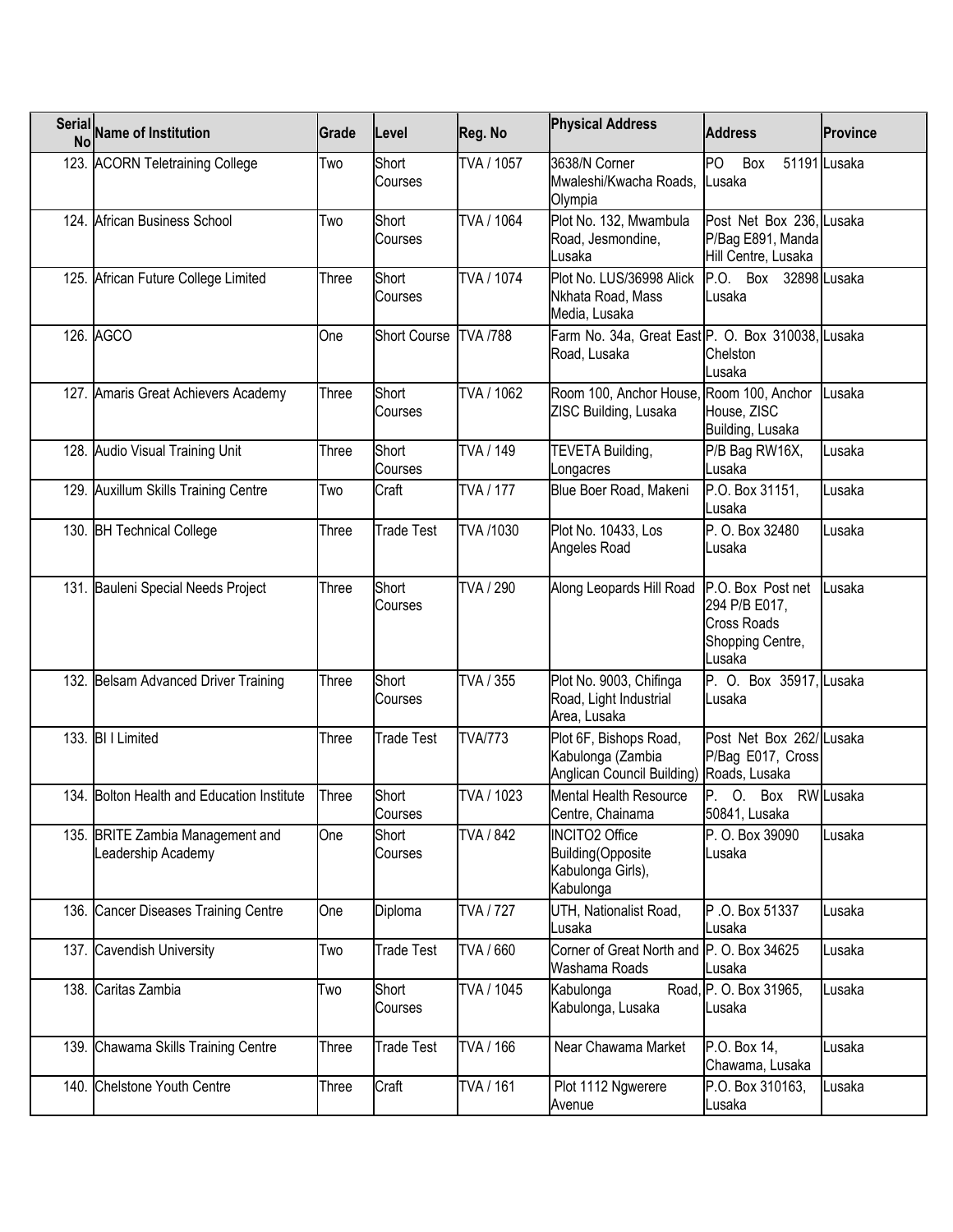| Serial Name of Institution                             | Grade | Level               | Reg. No          | <b>Physical Address</b>                                                                 | <b>Address</b>                                                                         | <b>Province</b> |
|--------------------------------------------------------|-------|---------------------|------------------|-----------------------------------------------------------------------------------------|----------------------------------------------------------------------------------------|-----------------|
| 123. ACORN Teletraining College                        | Two   | Short<br>Courses    | TVA / 1057       | 3638/N Corner<br>Mwaleshi/Kwacha Roads, Lusaka<br>Olympia                               | PO.<br>Box                                                                             | 51191 Lusaka    |
| 124. African Business School                           | Two   | Short<br>Courses    | TVA / 1064       | Plot No. 132, Mwambula<br>Road, Jesmondine,<br>Lusaka                                   | Post Net Box 236, Lusaka<br>P/Bag E891, Manda<br>Hill Centre, Lusaka                   |                 |
| 125. African Future College Limited                    | Three | Short<br>Courses    | TVA / 1074       | Plot No. LUS/36998 Alick<br>Nkhata Road, Mass<br>Media, Lusaka                          | P.O. Box 32898 Lusaka<br>Lusaka                                                        |                 |
| 126. AGCO                                              | One   | <b>Short Course</b> | <b>TVA /788</b>  | Farm No. 34a, Great East P. O. Box 310038, Lusaka<br>Road, Lusaka                       | Chelston<br>Lusaka                                                                     |                 |
| 127. Amaris Great Achievers Academy                    | Three | Short<br>Courses    | TVA / 1062       | Room 100, Anchor House, Room 100, Anchor<br>ZISC Building, Lusaka                       | House, ZISC<br>Building, Lusaka                                                        | Lusaka          |
| 128. Audio Visual Training Unit                        | Three | Short<br>Courses    | TVA / 149        | TEVETA Building,<br>Longacres                                                           | P/B Bag RW16X,<br>Lusaka                                                               | Lusaka          |
| 129. Auxillum Skills Training Centre                   | Two   | Craft               | <b>TVA</b> / 177 | Blue Boer Road, Makeni                                                                  | P.O. Box 31151,<br>Lusaka                                                              | Lusaka          |
| 130. BH Technical College                              | Three | <b>Trade Test</b>   | TVA /1030        | Plot No. 10433, Los<br>Angeles Road                                                     | P. O. Box 32480<br>Lusaka                                                              | Lusaka          |
| 131. Bauleni Special Needs Project                     | Three | Short<br>Courses    | TVA / 290        | Along Leopards Hill Road                                                                | P.O. Box Post net<br>294 P/B E017,<br><b>Cross Roads</b><br>Shopping Centre,<br>Lusaka | Lusaka          |
| 132. Belsam Advanced Driver Training                   | Three | Short<br>Courses    | TVA / 355        | Plot No. 9003, Chifinga<br>Road, Light Industrial<br>Area, Lusaka                       | P. O. Box 35917, Lusaka<br>Lusaka                                                      |                 |
| 133. BI I Limited                                      | Three | <b>Trade Test</b>   | <b>TVA/773</b>   | Plot 6F, Bishops Road,<br>Kabulonga (Zambia<br>Anglican Council Building) Roads, Lusaka | Post Net Box 262/Lusaka<br>P/Bag E017, Cross                                           |                 |
| 134. Bolton Health and Education Institute             | Three | Short<br>Courses    | TVA / 1023       | <b>Mental Health Resource</b><br>Centre, Chainama                                       | P. O. Box RW Lusaka<br>50841, Lusaka                                                   |                 |
| 135. BRITE Zambia Management and<br>Leadership Academy | One   | Short<br>Courses    | TVA / 842        | <b>INCITO2 Office</b><br>Building(Opposite<br>Kabulonga Girls),<br>Kabulonga            | P. O. Box 39090<br>Lusaka                                                              | Lusaka          |
| 136. Cancer Diseases Training Centre                   | One   | Diploma             | <b>TVA / 727</b> | UTH, Nationalist Road,<br>Lusaka                                                        | P.O. Box 51337<br>Lusaka                                                               | Lusaka          |
| 137. Cavendish University                              | Two   | <b>Trade Test</b>   | TVA / 660        | Corner of Great North and<br>Washama Roads                                              | P. O. Box 34625<br>Lusaka                                                              | Lusaka          |
| 138. Caritas Zambia                                    | Two   | Short<br>Courses    | TVA / 1045       | Kabulonga<br>Kabulonga, Lusaka                                                          | Road, P. O. Box 31965,<br>Lusaka                                                       | Lusaka          |
| 139. Chawama Skills Training Centre                    | Three | Trade Test          | TVA / 166        | Near Chawama Market                                                                     | P.O. Box 14,<br>Chawama, Lusaka                                                        | Lusaka          |
| 140. Chelstone Youth Centre                            | Three | Craft               | TVA / 161        | Plot 1112 Ngwerere<br>Avenue                                                            | P.O. Box 310163,<br>Lusaka                                                             | Lusaka          |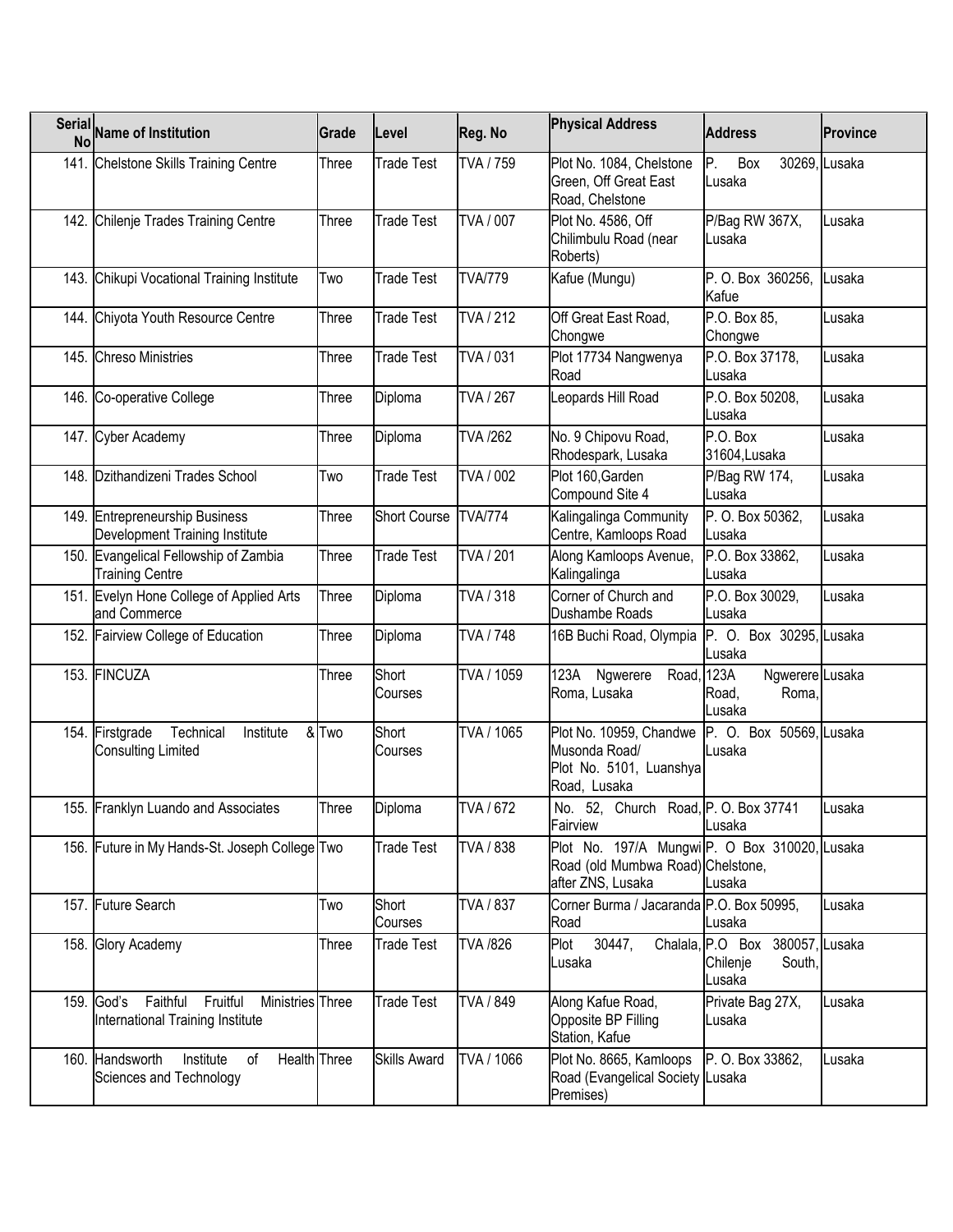| Serial Name of Institution                                                              | Grade        | Level               | Reg. No                 | <b>Physical Address</b>                                                                                | <b>Address</b>                                                  | <b>Province</b> |
|-----------------------------------------------------------------------------------------|--------------|---------------------|-------------------------|--------------------------------------------------------------------------------------------------------|-----------------------------------------------------------------|-----------------|
| 141. Chelstone Skills Training Centre                                                   | Three        | <b>Trade Test</b>   | TVA / 759               | Plot No. 1084, Chelstone<br>Green, Off Great East<br>Road, Chelstone                                   | P.<br>Box<br>Lusaka                                             | 30269, Lusaka   |
| 142. Chilenje Trades Training Centre                                                    | Three        | <b>Trade Test</b>   | <b>TVA / 007</b>        | Plot No. 4586, Off<br>Chilimbulu Road (near<br>Roberts)                                                | P/Bag RW 367X,<br>Lusaka                                        | Lusaka          |
| 143. Chikupi Vocational Training Institute                                              | Two          | <b>Trade Test</b>   | <b>TVA/779</b>          | Kafue (Mungu)                                                                                          | P. O. Box 360256,<br>Kafue                                      | Lusaka          |
| 144. Chiyota Youth Resource Centre                                                      | Three        | <b>Trade Test</b>   | TVA / 212               | Off Great East Road,<br>Chongwe                                                                        | P.O. Box 85,<br>Chongwe                                         | Lusaka          |
| 145. Chreso Ministries                                                                  | Three        | <b>Trade Test</b>   | TVA / 031               | Plot 17734 Nangwenya<br>Road                                                                           | P.O. Box 37178,<br>Lusaka                                       | Lusaka          |
| 146. Co-operative College                                                               | Three        | Diploma             | TVA / 267               | Leopards Hill Road                                                                                     | P.O. Box 50208,<br>Lusaka                                       | Lusaka          |
| 147. Cyber Academy                                                                      | Three        | Diploma             | <b>TVA /262</b>         | No. 9 Chipovu Road,<br>Rhodespark, Lusaka                                                              | P.O. Box<br>31604, Lusaka                                       | Lusaka          |
| 148. Dzithandizeni Trades School                                                        | Two          | <b>Trade Test</b>   | TVA / 002               | Plot 160, Garden<br>Compound Site 4                                                                    | P/Bag RW 174,<br>Lusaka                                         | Lusaka          |
| 149. Entrepreneurship Business<br>Development Training Institute                        | Three        | <b>Short Course</b> | <b>TVA/774</b>          | Kalingalinga Community<br>Centre, Kamloops Road                                                        | P. O. Box 50362,<br>Lusaka                                      | Lusaka          |
| 150. Evangelical Fellowship of Zambia<br><b>Training Centre</b>                         | Three        | <b>Trade Test</b>   | TVA / 201               | Along Kamloops Avenue,<br>Kalingalinga                                                                 | P.O. Box 33862,<br>Lusaka                                       | Lusaka          |
| 151. Evelyn Hone College of Applied Arts<br>and Commerce                                | Three        | Diploma             | TVA / 318               | Corner of Church and<br>Dushambe Roads                                                                 | P.O. Box 30029,<br>Lusaka                                       | Lusaka          |
| 152. Fairview College of Education                                                      | Three        | Diploma             | TVA / 748               | 16B Buchi Road, Olympia                                                                                | P. O. Box 30295, Lusaka<br>Lusaka                               |                 |
| 153. FINCUZA                                                                            | Three        | Short<br>Courses    | TVA / 1059              | 123A<br>Ngwerere<br>Road,<br>Roma, Lusaka                                                              | 123A<br>Ngwerere Lusaka<br>Road,<br>Roma,<br>Lusaka             |                 |
| 154. Firstgrade<br>Technical<br>Institute<br><b>Consulting Limited</b>                  | & Two        | Short<br>Courses    | TVA / 1065              | Plot No. 10959, Chandwe<br>Musonda Road/<br>Plot No. 5101, Luanshya<br>Road, Lusaka                    | P. O. Box 50569, Lusaka<br>Lusaka                               |                 |
| 155. Franklyn Luando and Associates                                                     | <b>Three</b> | Diploma             | $\overline{TV}$ A / 672 | No. 52, Church Road, P.O. Box 37741<br>Fairview                                                        | Lusaka                                                          | Lusaka          |
| 156. Future in My Hands-St. Joseph College Two                                          |              | <b>Trade Test</b>   | TVA / 838               | Plot No. 197/A MungwiP. O Box 310020, Lusaka<br>Road (old Mumbwa Road) Chelstone,<br>after ZNS, Lusaka | Lusaka                                                          |                 |
| 157. Future Search                                                                      | Two          | Short<br>Courses    | TVA / 837               | Corner Burma / Jacaranda P.O. Box 50995,<br>Road                                                       | Lusaka                                                          | Lusaka          |
| 158. Glory Academy                                                                      | Three        | Trade Test          | TVA /826                | 30447,<br>Plot<br>Lusaka                                                                               | Chalala, P.O Box 380057, Lusaka<br>South,<br>Chilenje<br>Lusaka |                 |
| 159. God's Faithful<br>Fruitful<br>Ministries Three<br>International Training Institute |              | <b>Trade Test</b>   | TVA / 849               | Along Kafue Road,<br>Opposite BP Filling<br>Station, Kafue                                             | Private Bag 27X,<br>Lusaka                                      | Lusaka          |
| Health Three<br>160. Handsworth<br>Institute<br>of<br>Sciences and Technology           |              | <b>Skills Award</b> | TVA / 1066              | Plot No. 8665, Kamloops<br>Road (Evangelical Society Lusaka<br>Premises)                               | P. O. Box 33862,                                                | Lusaka          |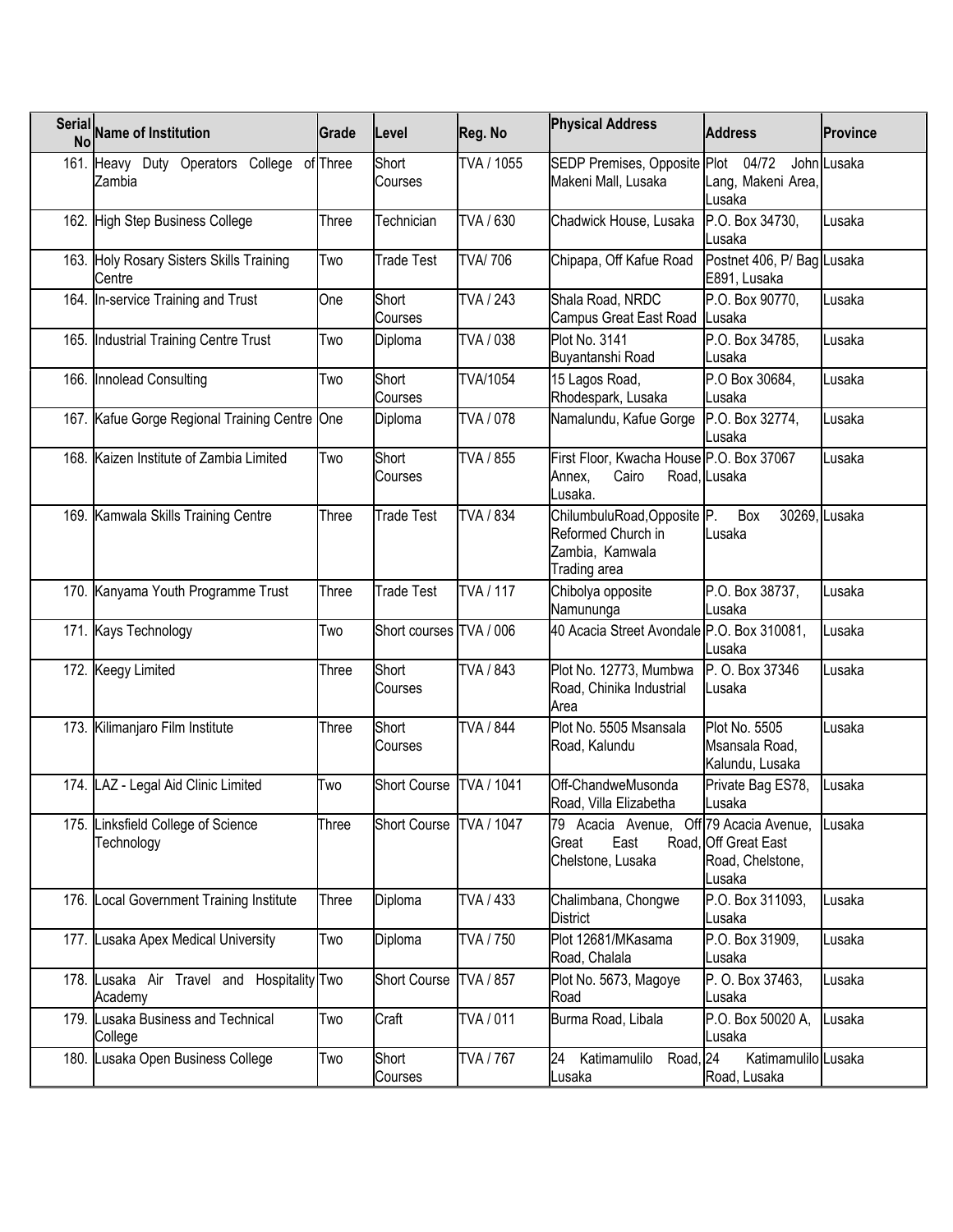| Serial<br><b>No</b> | <b>Name of Institution</b>                            | Grade        | Level                   | Reg. No          | <b>Physical Address</b>                                                                  | <b>Address</b>                                            | <b>Province</b> |
|---------------------|-------------------------------------------------------|--------------|-------------------------|------------------|------------------------------------------------------------------------------------------|-----------------------------------------------------------|-----------------|
|                     | 161. Heavy Duty Operators College of Three<br>Zambia  |              | Short<br>Courses        | TVA / 1055       | SEDP Premises, Opposite Plot<br>Makeni Mall, Lusaka                                      | 04/72<br>Lang, Makeni Area,<br>Lusaka                     | John Lusaka     |
|                     | 162. High Step Business College                       | Three        | Technician              | TVA / 630        | Chadwick House, Lusaka                                                                   | P.O. Box 34730,<br>Lusaka                                 | Lusaka          |
|                     | 163. Holy Rosary Sisters Skills Training<br>Centre    | Two          | Trade Test              | <b>TVA/706</b>   | Chipapa, Off Kafue Road                                                                  | Postnet 406, P/ Bag Lusaka<br>E891, Lusaka                |                 |
|                     | 164. In-service Training and Trust                    | One          | Short<br>Courses        | TVA / 243        | Shala Road, NRDC<br>Campus Great East Road                                               | P.O. Box 90770.<br>Lusaka                                 | Lusaka          |
|                     | 165. Industrial Training Centre Trust                 | Two          | Diploma                 | TVA / 038        | Plot No. 3141<br>Buyantanshi Road                                                        | P.O. Box 34785,<br>Lusaka                                 | Lusaka          |
|                     | 166. Innolead Consulting                              | Two          | Short<br>Courses        | TVA/1054         | 15 Lagos Road,<br>Rhodespark, Lusaka                                                     | P.O Box 30684,<br>Lusaka                                  | Lusaka          |
|                     | 167. Kafue Gorge Regional Training Centre One         |              | Diploma                 | TVA / 078        | Namalundu, Kafue Gorge                                                                   | P.O. Box 32774,<br>Lusaka                                 | Lusaka          |
|                     | 168. Kaizen Institute of Zambia Limited               | Two          | Short<br>Courses        | TVA / 855        | First Floor, Kwacha House P.O. Box 37067<br>Cairo<br>Annex,<br>Lusaka.                   | Road, Lusaka                                              | Lusaka          |
|                     | 169. Kamwala Skills Training Centre                   | Three        | Trade Test              | TVA / 834        | ChilumbuluRoad, Opposite P.<br>Reformed Church in<br>Zambia, Kamwala<br>Trading area     | Box<br>Lusaka                                             | 30269, Lusaka   |
|                     | 170. Kanyama Youth Programme Trust                    | Three        | <b>Trade Test</b>       | <b>TVA / 117</b> | Chibolya opposite<br>Namununga                                                           | P.O. Box 38737,<br>Lusaka                                 | Lusaka          |
|                     | 171. Kays Technology                                  | Two          | Short courses TVA / 006 |                  | 40 Acacia Street Avondale P.O. Box 310081,                                               | Lusaka                                                    | Lusaka          |
|                     | 172. Keegy Limited                                    | Three        | Short<br>Courses        | TVA / 843        | Plot No. 12773, Mumbwa<br>Road, Chinika Industrial<br>Area                               | P. O. Box 37346<br>Lusaka                                 | Lusaka          |
|                     | 173. Kilimanjaro Film Institute                       | Three        | Short<br>Courses        | <b>TVA / 844</b> | Plot No. 5505 Msansala<br>Road, Kalundu                                                  | <b>Plot No. 5505</b><br>Msansala Road,<br>Kalundu, Lusaka | Lusaka          |
|                     | 174. LAZ - Legal Aid Clinic Limited                   | Two          | <b>Short Course</b>     | TVA / 1041       | Off-ChandweMusonda<br>Road, Villa Elizabetha                                             | Private Bag ES78,<br>Lusaka                               | Lusaka          |
|                     | 175. Linksfield College of Science<br>Technology      | Three        | Short Course TVA / 1047 |                  | 79 Acacia Avenue, Off <sup>79</sup> Acacia Avenue,<br>East<br>Great<br>Chelstone, Lusaka | Road, Off Great East<br>Road, Chelstone,<br>Lusaka        | Lusaka          |
|                     | 176. Local Government Training Institute              | <b>Three</b> | Diploma                 | TVA / 433        | Chalimbana, Chongwe<br><b>District</b>                                                   | P.O. Box 311093,<br>Lusaka                                | Lusaka          |
| 177.                | Lusaka Apex Medical University                        | Two          | Diploma                 | TVA / 750        | Plot 12681/MKasama<br>Road, Chalala                                                      | P.O. Box 31909,<br>Lusaka                                 | Lusaka          |
|                     | 178. Lusaka Air Travel and Hospitality Two<br>Academy |              | Short Course            | <b>TVA / 857</b> | Plot No. 5673, Magoye<br>Road                                                            | P. O. Box 37463,<br>Lusaka                                | Lusaka          |
| 179.                | Lusaka Business and Technical<br>College              | Two          | Craft                   | TVA / 011        | Burma Road, Libala                                                                       | P.O. Box 50020 A,<br>Lusaka                               | Lusaka          |
|                     | 180. Lusaka Open Business College                     | Two          | Short<br>Courses        | <b>TVA / 767</b> | 24<br>Road, 24<br>Katimamulilo<br>Lusaka                                                 | Katimamulilo Lusaka<br>Road, Lusaka                       |                 |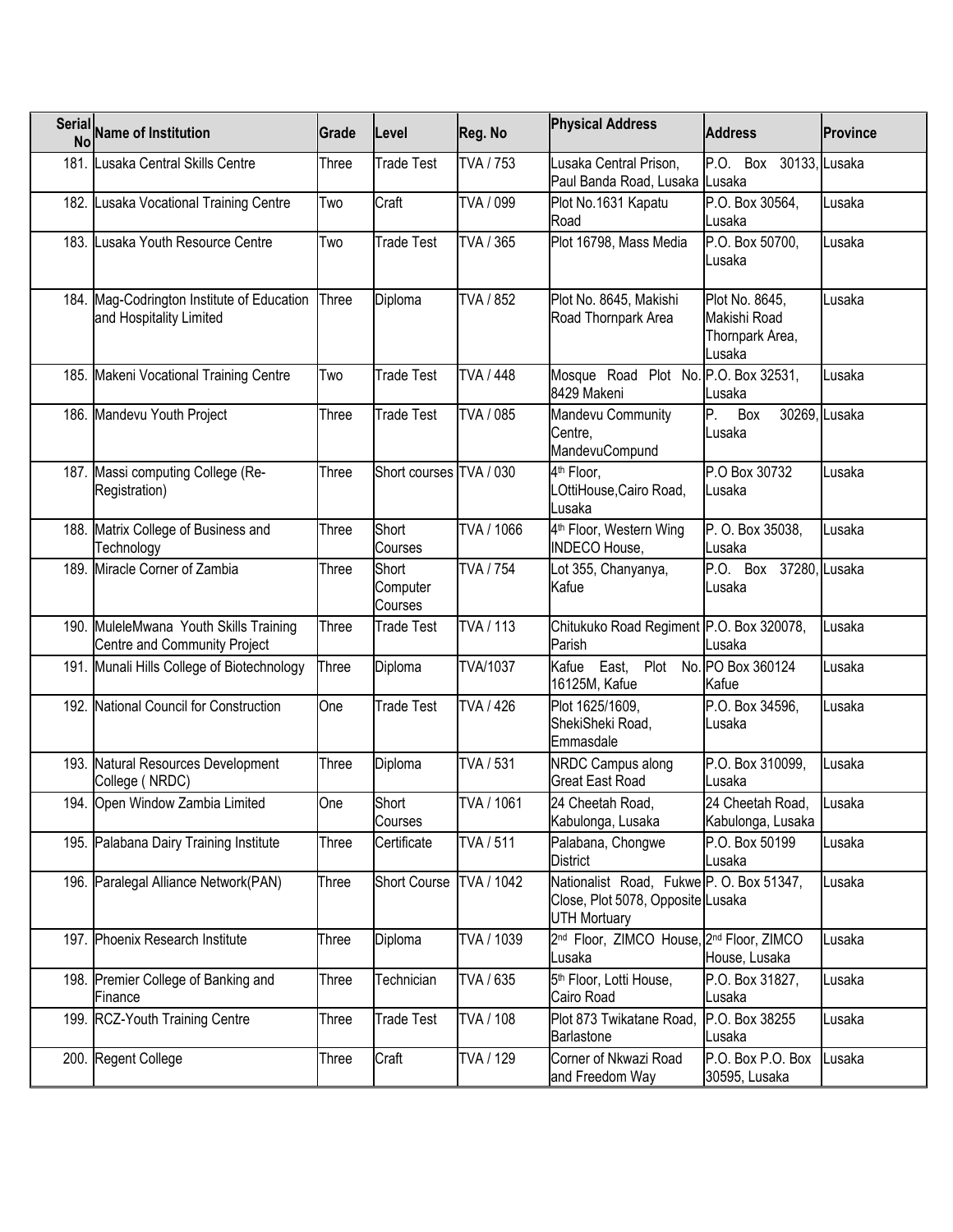| Serial Name of Institution                                             | Grade | Level                        | Reg. No          | <b>Physical Address</b>                                                                              | <b>Address</b>                                              | <b>Province</b> |
|------------------------------------------------------------------------|-------|------------------------------|------------------|------------------------------------------------------------------------------------------------------|-------------------------------------------------------------|-----------------|
| 181. Lusaka Central Skills Centre                                      | Three | <b>Trade Test</b>            | TVA / 753        | Lusaka Central Prison,<br>Paul Banda Road, Lusaka Lusaka                                             | P.O. Box 30133, Lusaka                                      |                 |
| 182. Lusaka Vocational Training Centre                                 | Two   | Craft                        | TVA / 099        | Plot No.1631 Kapatu<br>Road                                                                          | P.O. Box 30564,<br>Lusaka                                   | Lusaka          |
| 183. Lusaka Youth Resource Centre                                      | Two   | <b>Trade Test</b>            | TVA / 365        | Plot 16798, Mass Media                                                                               | P.O. Box 50700,<br>Lusaka                                   | Lusaka          |
| 184. Mag-Codrington Institute of Education<br>and Hospitality Limited  | Three | Diploma                      | TVA / 852        | Plot No. 8645, Makishi<br>Road Thornpark Area                                                        | Plot No. 8645,<br>Makishi Road<br>Thornpark Area,<br>Lusaka | Lusaka          |
| 185. Makeni Vocational Training Centre                                 | Two   | <b>Trade Test</b>            | TVA / 448        | Mosque Road Plot No. P.O. Box 32531,<br>8429 Makeni                                                  | Lusaka                                                      | Lusaka          |
| 186. Mandevu Youth Project                                             | Three | <b>Trade Test</b>            | TVA / 085        | Mandevu Community<br>Centre,<br>MandevuCompund                                                       | P.<br>Box<br>Lusaka                                         | 30269, Lusaka   |
| 187. Massi computing College (Re-<br>Registration)                     | Three | Short courses TVA / 030      |                  | 4 <sup>th</sup> Floor,<br>LOttiHouse, Cairo Road,<br>Lusaka                                          | P.O Box 30732<br>Lusaka                                     | Lusaka          |
| 188. Matrix College of Business and<br>Technology                      | Three | Short<br>Courses             | TVA / 1066       | 4 <sup>th</sup> Floor, Western Wing<br><b>INDECO House,</b>                                          | P. O. Box 35038,<br>Lusaka                                  | Lusaka          |
| 189. Miracle Corner of Zambia                                          | Three | Short<br>Computer<br>Courses | <b>TVA / 754</b> | Lot 355, Chanyanya,<br>Kafue                                                                         | P.O. Box 37280, Lusaka<br>Lusaka                            |                 |
| 190. MuleleMwana Youth Skills Training<br>Centre and Community Project | Three | Trade Test                   | TVA / 113        | Chitukuko Road Regiment P.O. Box 320078,<br>Parish                                                   | Lusaka                                                      | Lusaka          |
| 191. Munali Hills College of Biotechnology                             | Three | Diploma                      | <b>TVA/1037</b>  | East, Plot No. PO Box 360124<br>Kafue<br>16125M, Kafue                                               | Kafue                                                       | Lusaka          |
| 192. National Council for Construction                                 | One   | <b>Trade Test</b>            | <b>TVA / 426</b> | Plot 1625/1609,<br>ShekiSheki Road,<br>Emmasdale                                                     | P.O. Box 34596,<br>Lusaka                                   | Lusaka          |
| 193. Natural Resources Development<br>College (NRDC)                   | Three | Diploma                      | TVA / 531        | NRDC Campus along<br><b>Great East Road</b>                                                          | P.O. Box 310099,<br>Lusaka                                  | Lusaka          |
| 194. Open Window Zambia Limited                                        | One   | Short<br>Courses             | TVA / 1061       | 24 Cheetah Road,<br>Kabulonga, Lusaka                                                                | 24 Cheetah Road,<br>Kabulonga, Lusaka                       | Lusaka          |
| 195. Palabana Dairy Training Institute                                 | Three | Certificate                  | TVA / 511        | Palabana, Chongwe<br><b>District</b>                                                                 | P.O. Box 50199<br>Lusaka                                    | Lusaka          |
| 196. Paralegal Alliance Network(PAN)                                   | Three | <b>Short Course</b>          | TVA / 1042       | Nationalist Road, Fukwe P. O. Box 51347,<br>Close, Plot 5078, Opposite Lusaka<br><b>UTH Mortuary</b> |                                                             | Lusaka          |
| 197. Phoenix Research Institute                                        | Three | Diploma                      | TVA / 1039       | 2 <sup>nd</sup> Floor, ZIMCO House, 2 <sup>nd</sup> Floor, ZIMCO<br>Lusaka                           | House, Lusaka                                               | Lusaka          |
| 198. Premier College of Banking and<br>Finance                         | Three | <b>Technician</b>            | TVA / 635        | 5 <sup>th</sup> Floor, Lotti House,<br>Cairo Road                                                    | P.O. Box 31827,<br>Lusaka                                   | Lusaka          |
| 199. RCZ-Youth Training Centre                                         | Three | Trade Test                   | TVA / 108        | Plot 873 Twikatane Road,<br>Barlastone                                                               | P.O. Box 38255<br>Lusaka                                    | Lusaka          |
| 200. Regent College                                                    | Three | Craft                        | TVA / 129        | Corner of Nkwazi Road<br>and Freedom Way                                                             | P.O. Box P.O. Box<br>30595, Lusaka                          | Lusaka          |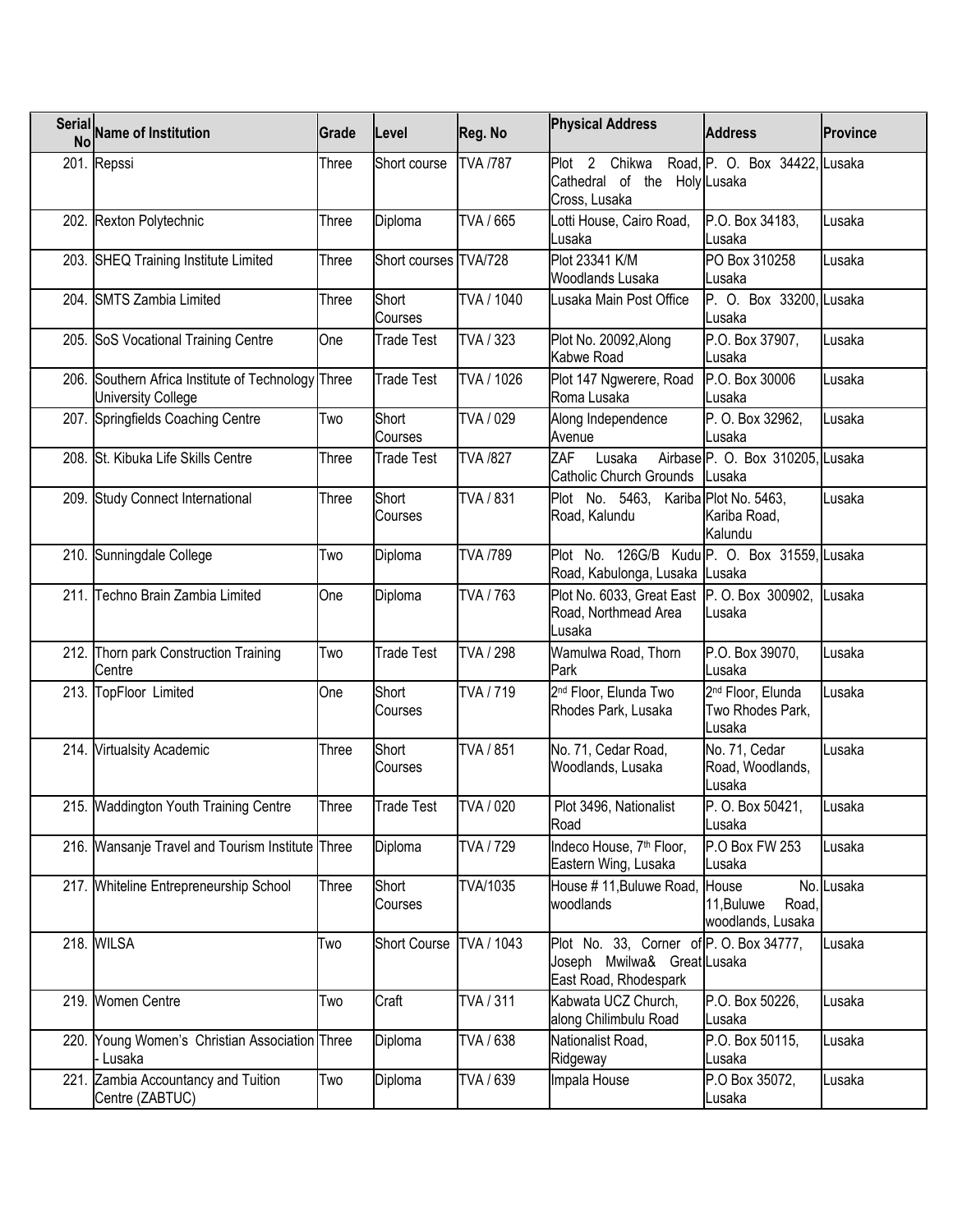| <b>Serial</b><br><b>No</b> | <b>Name of Institution</b>                                                      | Grade | Level                 | Reg. No          | <b>Physical Address</b>                                                                        | <b>Address</b>                                              | <b>Province</b> |
|----------------------------|---------------------------------------------------------------------------------|-------|-----------------------|------------------|------------------------------------------------------------------------------------------------|-------------------------------------------------------------|-----------------|
|                            | 201. Repssi                                                                     | Three | Short course          | <b>TVA /787</b>  | Plot 2 Chikwa Road, P. O. Box 34422, Lusaka<br>Cathedral of the Holy Lusaka<br>Cross, Lusaka   |                                                             |                 |
|                            | 202. Rexton Polytechnic                                                         | Three | Diploma               | TVA / 665        | Lotti House, Cairo Road,<br>Lusaka                                                             | P.O. Box 34183,<br>Lusaka                                   | Lusaka          |
|                            | 203. SHEQ Training Institute Limited                                            | Three | Short courses TVA/728 |                  | Plot 23341 K/M<br>Woodlands Lusaka                                                             | PO Box 310258<br>Lusaka                                     | Lusaka          |
|                            | 204. SMTS Zambia Limited                                                        | Three | Short<br>Courses      | TVA / 1040       | Lusaka Main Post Office                                                                        | P. O. Box 33200, Lusaka<br>Lusaka                           |                 |
|                            | 205. SoS Vocational Training Centre                                             | One   | Trade Test            | TVA / 323        | Plot No. 20092, Along<br>Kabwe Road                                                            | P.O. Box 37907,<br>Lusaka                                   | Lusaka          |
|                            | 206. Southern Africa Institute of Technology Three<br><b>University College</b> |       | Trade Test            | TVA / 1026       | Plot 147 Ngwerere, Road<br>Roma Lusaka                                                         | P.O. Box 30006<br>Lusaka                                    | Lusaka          |
|                            | 207. Springfields Coaching Centre                                               | Two   | Short<br>Courses      | TVA / 029        | Along Independence<br>Avenue                                                                   | P. O. Box 32962,<br>Lusaka                                  | Lusaka          |
|                            | 208. St. Kibuka Life Skills Centre                                              | Three | Trade Test            | <b>TVA /827</b>  | ZAF<br>Lusaka<br>Catholic Church Grounds                                                       | Airbase <sup>P</sup> . O. Box 310205, Lusaka<br>Lusaka      |                 |
|                            | 209. Study Connect International                                                | Three | Short<br>Courses      | TVA / 831        | Plot No. 5463, Kariba Plot No. 5463,<br>Road, Kalundu                                          | Kariba Road,<br>Kalundu                                     | Lusaka          |
|                            | 210. Sunningdale College                                                        | Two   | Diploma               | <b>TVA /789</b>  | Plot No. 126G/B Kudu P. O. Box 31559, Lusaka<br>Road, Kabulonga, Lusaka Lusaka                 |                                                             |                 |
|                            | 211. Techno Brain Zambia Limited                                                | One   | Diploma               | TVA / 763        | Plot No. 6033, Great East P. O. Box 300902,<br>Road, Northmead Area<br>Lusaka                  | Lusaka                                                      | Lusaka          |
|                            | 212. Thorn park Construction Training<br>Centre                                 | Two   | Trade Test            | <b>TVA / 298</b> | Wamulwa Road, Thorn<br>Park                                                                    | P.O. Box 39070,<br>Lusaka                                   | Lusaka          |
|                            | 213. TopFloor Limited                                                           | One   | Short<br>Courses      | TVA / 719        | 2 <sup>nd</sup> Floor, Elunda Two<br>Rhodes Park, Lusaka                                       | 2 <sup>nd</sup> Floor, Elunda<br>Two Rhodes Park,<br>Lusaka | Lusaka          |
|                            | 214. Virtualsity Academic                                                       | Three | Short<br>Courses      | TVA / 851        | No. 71, Cedar Road,<br>Woodlands, Lusaka                                                       | No. 71, Cedar<br>Road, Woodlands,<br>Lusaka                 | Lusaka          |
|                            | 215. Waddington Youth Training Centre                                           | Three | <b>Trade Test</b>     | TVA / 020        | Plot 3496, Nationalist<br>Road                                                                 | P. O. Box 50421,<br>∥Lusaka                                 | Lusaka          |
|                            | 216. Wansanje Travel and Tourism Institute Three                                |       | Diploma               | TVA / 729        | Indeco House, 7 <sup>th</sup> Floor,<br>Eastern Wing, Lusaka                                   | P.O Box FW 253<br>Lusaka                                    | Lusaka          |
|                            | 217. Whiteline Entrepreneurship School                                          | Three | Short<br>Courses      | TVA/1035         | House #11, Buluwe Road, House<br>woodlands                                                     | 11, Buluwe<br>Road,<br>woodlands, Lusaka                    | No. Lusaka      |
|                            | 218. WILSA                                                                      | Two   | <b>Short Course</b>   | TVA / 1043       | Plot No. 33, Corner of P.O. Box 34777,<br>Joseph Mwilwa& Great Lusaka<br>East Road, Rhodespark |                                                             | Lusaka          |
|                            | 219. Women Centre                                                               | Two   | Craft                 | TVA / 311        | Kabwata UCZ Church,<br>along Chilimbulu Road                                                   | P.O. Box 50226,<br>Lusaka                                   | Lusaka          |
|                            | 220. Young Women's Christian Association Three<br>- Lusaka                      |       | Diploma               | TVA / 638        | Nationalist Road,<br>Ridgeway                                                                  | P.O. Box 50115,<br>Lusaka                                   | Lusaka          |
|                            | 221. Zambia Accountancy and Tuition<br>Centre (ZABTUC)                          | Two   | Diploma               | TVA / 639        | Impala House                                                                                   | P.O Box 35072,<br>Lusaka                                    | Lusaka          |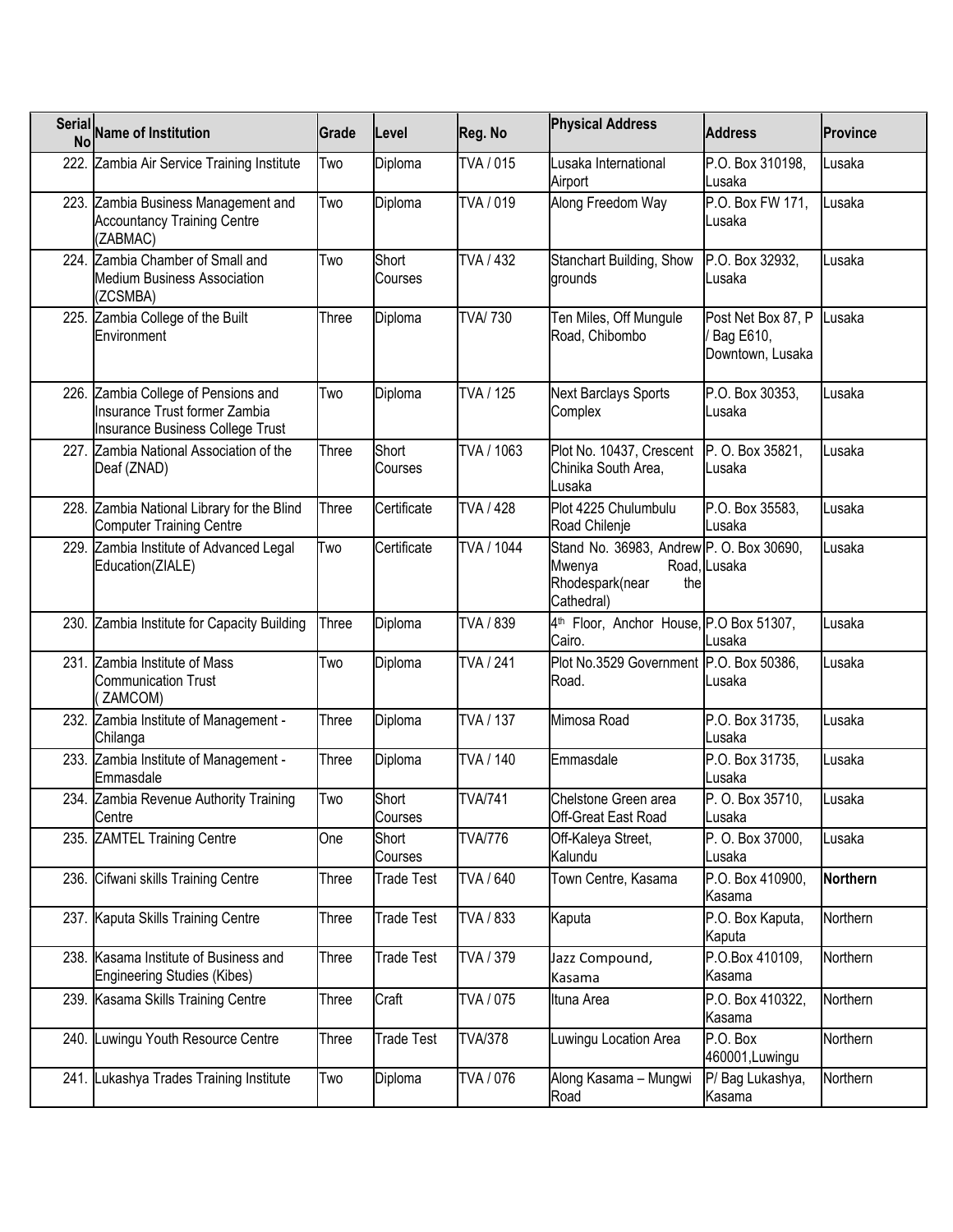| <b>Serial</b><br><b>No</b> | <b>Name of Institution</b>                                                                                             | Grade | Level             | Reg. No          | <b>Physical Address</b>                                                                    | <b>Address</b>                                      | <b>Province</b> |
|----------------------------|------------------------------------------------------------------------------------------------------------------------|-------|-------------------|------------------|--------------------------------------------------------------------------------------------|-----------------------------------------------------|-----------------|
|                            | 222. Zambia Air Service Training Institute                                                                             | Two   | Diploma           | TVA / 015        | Lusaka International<br>Airport                                                            | P.O. Box 310198,<br>Lusaka                          | Lusaka          |
|                            | 223. Zambia Business Management and<br><b>Accountancy Training Centre</b><br>(ZABMAC)                                  | Two   | Diploma           | TVA / 019        | Along Freedom Way                                                                          | P.O. Box FW 171,<br>Lusaka                          | Lusaka          |
|                            | 224. Zambia Chamber of Small and<br><b>Medium Business Association</b><br>(ZCSMBA)                                     | Two   | Short<br>Courses  | TVA / 432        | Stanchart Building, Show<br>grounds                                                        | P.O. Box 32932,<br>Lusaka                           | Lusaka          |
|                            | 225. Zambia College of the Built<br>Environment                                                                        | Three | Diploma           | <b>TVA/730</b>   | Ten Miles, Off Mungule<br>Road, Chibombo                                                   | Post Net Box 87, P<br>Bag E610,<br>Downtown, Lusaka | Lusaka          |
|                            | 226. Zambia College of Pensions and<br><b>Insurance Trust former Zambia</b><br><b>Insurance Business College Trust</b> | Two   | Diploma           | TVA / 125        | <b>Next Barclays Sports</b><br>Complex                                                     | P.O. Box 30353,<br>Lusaka                           | Lusaka          |
|                            | 227. Zambia National Association of the<br>Deaf (ZNAD)                                                                 | Three | Short<br>Courses  | TVA / 1063       | Plot No. 10437, Crescent<br>Chinika South Area,<br>Lusaka                                  | P. O. Box 35821,<br>Lusaka                          | Lusaka          |
|                            | 228. Zambia National Library for the Blind<br><b>Computer Training Centre</b>                                          | Three | Certificate       | <b>TVA / 428</b> | Plot 4225 Chulumbulu<br>Road Chilenje                                                      | P.O. Box 35583,<br>Lusaka                           | Lusaka          |
|                            | 229. Zambia Institute of Advanced Legal<br>Education(ZIALE)                                                            | Two   | Certificate       | TVA / 1044       | Stand No. 36983, Andrew P. O. Box 30690,<br>Mwenya<br>Rhodespark(near<br>the<br>Cathedral) | Road, Lusaka                                        | Lusaka          |
|                            | 230. Zambia Institute for Capacity Building                                                                            | Three | Diploma           | TVA / 839        | 4 <sup>th</sup> Floor, Anchor House, P.O Box 51307,<br>Cairo.                              | Lusaka                                              | Lusaka          |
|                            | 231. Zambia Institute of Mass<br><b>Communication Trust</b><br>ZAMCOM)                                                 | Two   | Diploma           | <b>TVA / 241</b> | Plot No.3529 Government P.O. Box 50386,<br>Road.                                           | Lusaka                                              | Lusaka          |
|                            | 232. Zambia Institute of Management -<br>Chilanga                                                                      | Three | Diploma           | <b>TVA / 137</b> | Mimosa Road                                                                                | P.O. Box 31735,<br>Lusaka                           | Lusaka          |
|                            | 233. Zambia Institute of Management -<br>Emmasdale                                                                     | Three | Diploma           | TVA / 140        | Emmasdale                                                                                  | P.O. Box 31735,<br>Lusaka                           | Lusaka          |
|                            | 234. Zambia Revenue Authority Training<br>Centre                                                                       | Two   | Short<br>Courses  | <b>TVA/741</b>   | Chelstone Green area<br>Off-Great East Road                                                | P. O. Box 35710,<br>Lusaka                          | Lusaka          |
|                            | 235. ZAMTEL Training Centre                                                                                            | One   | Short<br>Courses  | <b>TVA/776</b>   | Off-Kaleya Street,<br>Kalundu                                                              | P. O. Box 37000,<br>Lusaka                          | Lusaka          |
|                            | 236. Cifwani skills Training Centre                                                                                    | Three | Trade Test        | TVA / 640        | Town Centre, Kasama                                                                        | P.O. Box 410900,<br>Kasama                          | <b>Northern</b> |
|                            | 237. Kaputa Skills Training Centre                                                                                     | Three | <b>Trade Test</b> | TVA / 833        | Kaputa                                                                                     | P.O. Box Kaputa,<br>Kaputa                          | Northern        |
|                            | 238. Kasama Institute of Business and<br><b>Engineering Studies (Kibes)</b>                                            | Three | Trade Test        | TVA / 379        | Jazz Compound,<br>Kasama                                                                   | P.O.Box 410109,<br>Kasama                           | Northern        |
|                            | 239. Kasama Skills Training Centre                                                                                     | Three | Craft             | TVA / 075        | Ituna Area                                                                                 | P.O. Box 410322,<br>Kasama                          | Northern        |
| 240.                       | _uwingu Youth Resource Centre                                                                                          | Three | Trade Test        | <b>TVA/378</b>   | Luwingu Location Area                                                                      | P.O. Box<br>460001, Luwingu                         | Northern        |
| 241.                       | ukashya Trades Training Institute                                                                                      | Two   | Diploma           | TVA / 076        | Along Kasama - Mungwi<br>Road                                                              | P/ Bag Lukashya,<br>Kasama                          | Northern        |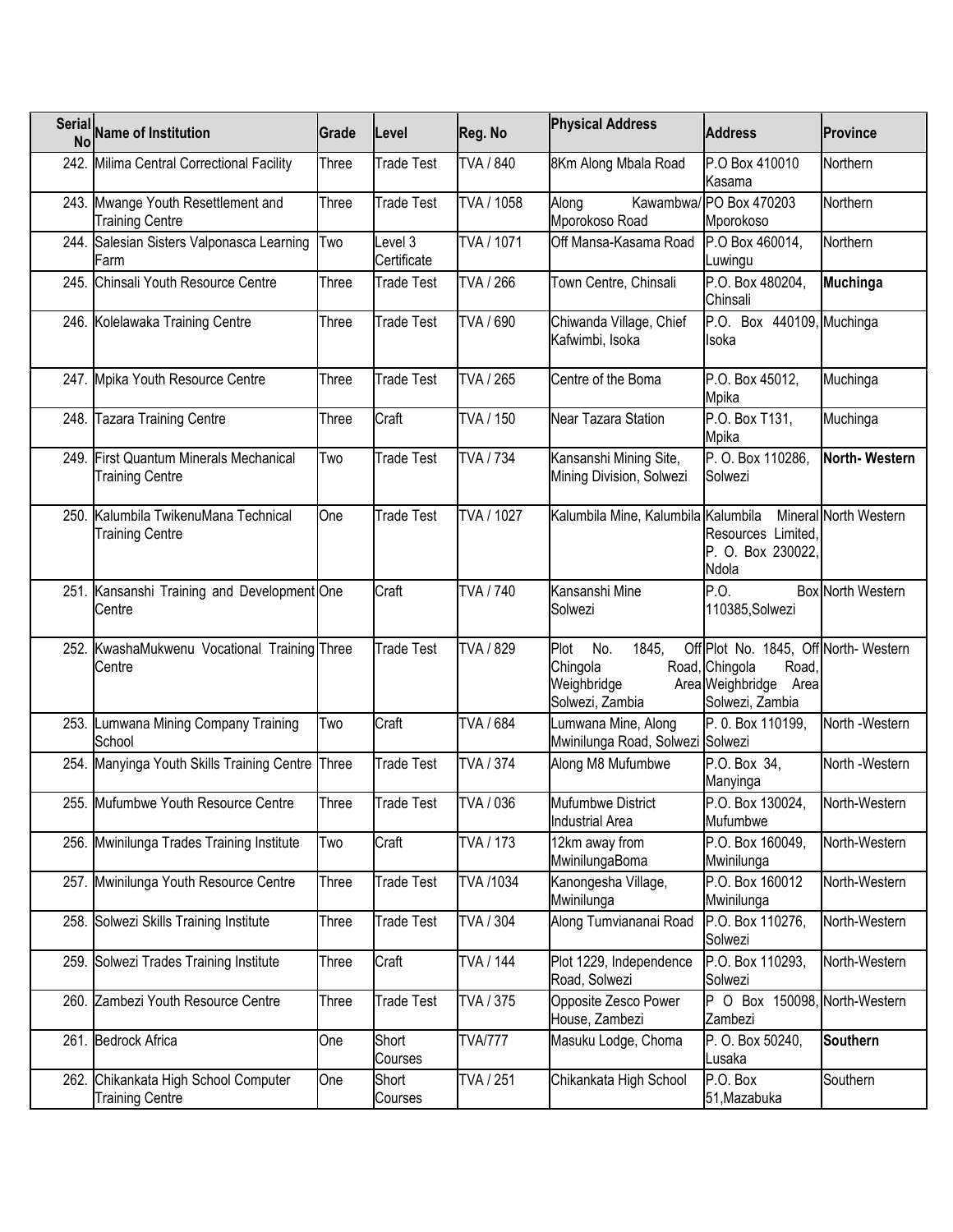|      | Serial Name of Institution                                     | Grade | _evel                  | Reg. No        | <b>Physical Address</b>                                            | <b>Address</b>                                                                                              | <b>Province</b>          |
|------|----------------------------------------------------------------|-------|------------------------|----------------|--------------------------------------------------------------------|-------------------------------------------------------------------------------------------------------------|--------------------------|
|      | 242. Milima Central Correctional Facility                      | Three | <b>Trade Test</b>      | TVA / 840      | 8Km Along Mbala Road                                               | P.O Box 410010<br>Kasama                                                                                    | Northern                 |
|      | 243. Mwange Youth Resettlement and<br><b>Training Centre</b>   | Three | Trade Test             | TVA / 1058     | Along<br>Mporokoso Road                                            | Kawambwa/ PO Box 470203<br>Mporokoso                                                                        | Northern                 |
|      | 244. Salesian Sisters Valponasca Learning<br>Farm              | Two   | Level 3<br>Certificate | TVA / 1071     | Off Mansa-Kasama Road                                              | P.O Box 460014,<br>Luwingu                                                                                  | Northern                 |
|      | 245. Chinsali Youth Resource Centre                            | Three | Trade Test             | TVA / 266      | Town Centre, Chinsali                                              | P.O. Box 480204,<br>Chinsali                                                                                | <b>Muchinga</b>          |
|      | 246. Kolelawaka Training Centre                                | Three | Trade Test             | TVA / 690      | Chiwanda Village, Chief<br>Kafwimbi, Isoka                         | P.O. Box 440109, Muchinga<br>Isoka                                                                          |                          |
|      | 247. Mpika Youth Resource Centre                               | Three | Trade Test             | TVA / 265      | Centre of the Boma                                                 | P.O. Box 45012,<br>Mpika                                                                                    | Muchinga                 |
| 248. | <b>Tazara Training Centre</b>                                  | Three | Craft                  | TVA / 150      | Near Tazara Station                                                | P.O. Box T131,<br>Mpika                                                                                     | Muchinga                 |
| 249. | First Quantum Minerals Mechanical<br><b>Training Centre</b>    | Two   | Trade Test             | TVA / 734      | Kansanshi Mining Site,<br>Mining Division, Solwezi                 | P. O. Box 110286.<br>Solwezi                                                                                | North-Western            |
|      | 250. Kalumbila TwikenuMana Technical<br><b>Training Centre</b> | One   | <b>Trade Test</b>      | TVA / 1027     | Kalumbila Mine, Kalumbila Kalumbila                                | Resources Limited,<br>P. O. Box 230022,<br>Ndola                                                            | Mineral North Western    |
|      | 251. Kansanshi Training and Development One<br>Centre          |       | Craft                  | TVA / 740      | Kansanshi Mine<br>Solwezi                                          | P.O.<br>110385, Solwezi                                                                                     | <b>Box North Western</b> |
|      | 252. KwashaMukwenu Vocational Training Three<br>Centre         |       | <b>Trade Test</b>      | TVA / 829      | Plot<br>No.<br>1845,<br>Chingola<br>Weighbridge<br>Solwezi, Zambia | Off Plot No. 1845, Off North-Western<br>Road, Chingola<br>Road,<br>Area Weighbridge Area<br>Solwezi, Zambia |                          |
|      | 253. Lumwana Mining Company Training<br>School                 | Two   | Craft                  | TVA / 684      | Lumwana Mine, Along<br>Mwinilunga Road, Solwezi Solwezi            | P. 0. Box 110199,                                                                                           | North -Western           |
|      | 254. Manyinga Youth Skills Training Centre Three               |       | <b>Trade Test</b>      | TVA / 374      | Along M8 Mufumbwe                                                  | P.O. Box 34,<br>Manyinga                                                                                    | North -Western           |
|      | 255. Mufumbwe Youth Resource Centre                            | Three | <b>Trade Test</b>      | TVA / 036      | Mufumbwe District<br><b>Industrial Area</b>                        | P.O. Box 130024,<br>Mufumbwe                                                                                | North-Western            |
|      | 256. Mwinilunga Trades Training Institute                      | Two   | Craft                  | TVA / 173      | 12km away from<br>MwinilungaBoma                                   | P.O. Box 160049,<br>Mwinilunga                                                                              | North-Western            |
|      | 257. Mwinilunga Youth Resource Centre                          | Three | Trade Test             | TVA /1034      | Kanongesha Village,<br>Mwinilunga                                  | P.O. Box 160012<br>Mwinilunga                                                                               | North-Western            |
|      | 258. Solwezi Skills Training Institute                         | Three | Trade Test             | TVA / 304      | Along Tumviananai Road                                             | P.O. Box 110276,<br>Solwezi                                                                                 | North-Western            |
| 259. | Solwezi Trades Training Institute                              | Three | Craft                  | TVA / 144      | Plot 1229, Independence<br>Road, Solwezi                           | P.O. Box 110293,<br>Solwezi                                                                                 | North-Western            |
|      | 260. Zambezi Youth Resource Centre                             | Three | Trade Test             | TVA / 375      | Opposite Zesco Power<br>House, Zambezi                             | P O Box 150098, North-Western<br>Zambezi                                                                    |                          |
|      | 261. Bedrock Africa                                            | One   | Short<br>Courses       | <b>TVA/777</b> | Masuku Lodge, Choma                                                | P. O. Box 50240,<br>Lusaka                                                                                  | <b>Southern</b>          |
|      | 262. Chikankata High School Computer<br><b>Training Centre</b> | One   | Short<br>Courses       | TVA / 251      | Chikankata High School                                             | P.O. Box<br>51, Mazabuka                                                                                    | Southern                 |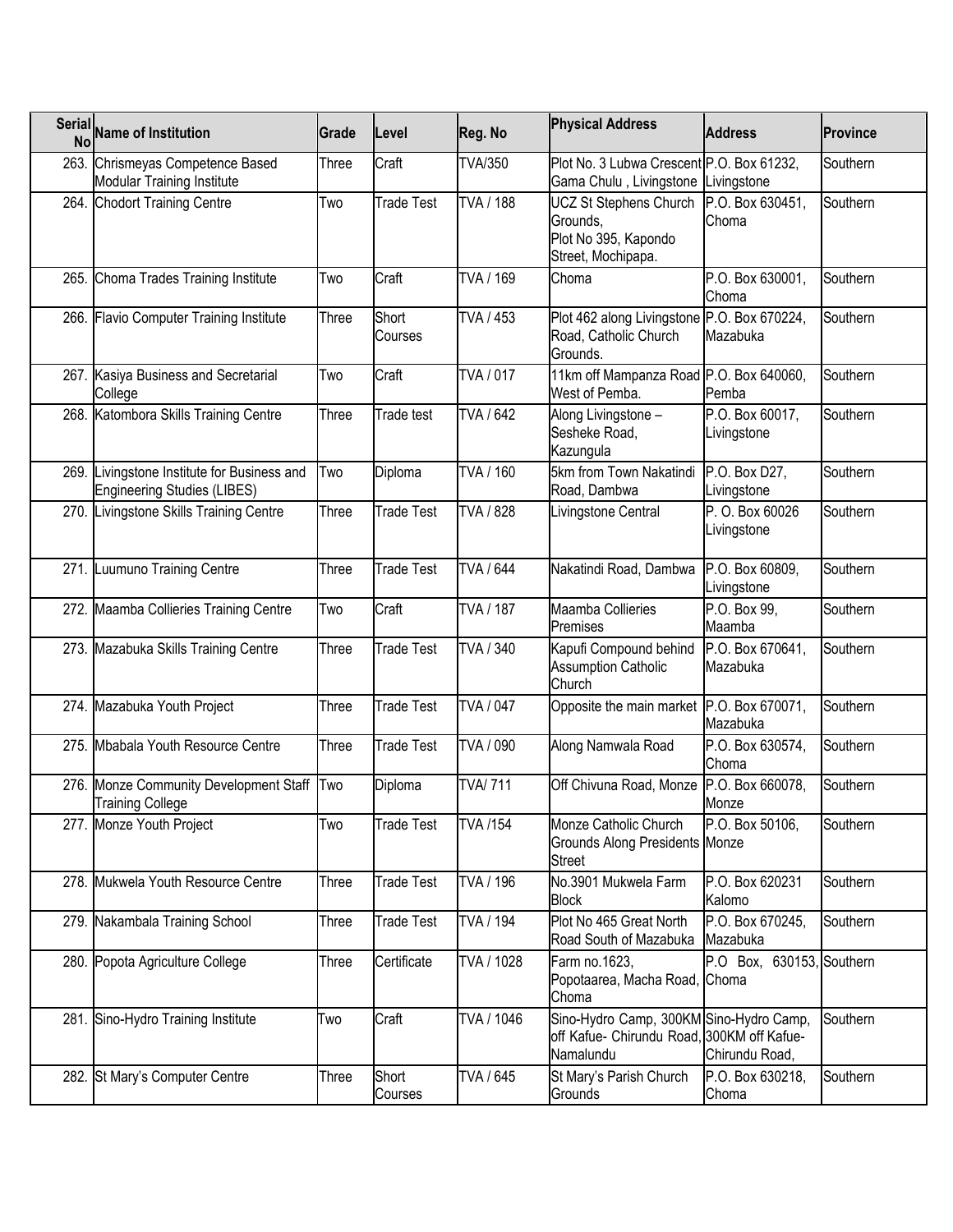| <b>Serial</b><br><b>No</b> | Name of Institution                                                  | Grade | Level             | Reg. No         | <b>Physical Address</b>                                                                            | <b>Address</b>                 | <b>Province</b> |
|----------------------------|----------------------------------------------------------------------|-------|-------------------|-----------------|----------------------------------------------------------------------------------------------------|--------------------------------|-----------------|
| 263.                       | Chrismeyas Competence Based<br><b>Modular Training Institute</b>     | Three | Craft             | <b>TVA/350</b>  | Plot No. 3 Lubwa Crescent P.O. Box 61232,<br>Gama Chulu, Livingstone Livingstone                   |                                | Southern        |
|                            | 264. Chodort Training Centre                                         | Two   | <b>Trade Test</b> | <b>TVA/188</b>  | <b>UCZ St Stephens Church</b><br>Grounds,<br>Plot No 395, Kapondo<br>Street, Mochipapa.            | P.O. Box 630451.<br>Choma      | Southern        |
|                            | 265. Choma Trades Training Institute                                 | Two   | Craft             | TVA / 169       | Choma                                                                                              | P.O. Box 630001,<br>Choma      | Southern        |
| 266.                       | <b>Flavio Computer Training Institute</b>                            | Three | Short<br>Courses  | TVA / 453       | Plot 462 along Livingstone P.O. Box 670224,<br>Road, Catholic Church<br>Grounds.                   | Mazabuka                       | Southern        |
| 267.                       | Kasiya Business and Secretarial<br>College                           | Two   | Craft             | TVA / 017       | 11km off Mampanza Road P.O. Box 640060,<br>West of Pemba.                                          | Pemba                          | Southern        |
|                            | 268. Katombora Skills Training Centre                                | Three | Trade test        | TVA / 642       | Along Livingstone -<br>Sesheke Road,<br>Kazungula                                                  | P.O. Box 60017,<br>Livingstone | Southern        |
| 269.                       | ivingstone Institute for Business and<br>Engineering Studies (LIBES) | Two   | Diploma           | TVA / 160       | 5km from Town Nakatindi<br>Road, Dambwa                                                            | P.O. Box D27.<br>Livingstone   | Southern        |
| 270.                       | Livingstone Skills Training Centre                                   | Three | Trade Test        | TVA / 828       | Livingstone Central                                                                                | P. O. Box 60026<br>Livingstone | Southern        |
| 271. II                    | Luumuno Training Centre                                              | Three | <b>Trade Test</b> | TVA / 644       | Nakatindi Road, Dambwa                                                                             | P.O. Box 60809,<br>Livingstone | Southern        |
|                            | 272. Maamba Collieries Training Centre                               | Two   | Craft             | TVA / 187       | Maamba Collieries<br>Premises                                                                      | P.O. Box 99,<br>Maamba         | Southern        |
|                            | 273. Mazabuka Skills Training Centre                                 | Three | <b>Trade Test</b> | TVA / 340       | Kapufi Compound behind<br><b>Assumption Catholic</b><br>Church                                     | P.O. Box 670641,<br>Mazabuka   | Southern        |
| 274.                       | Mazabuka Youth Project                                               | Three | <b>Trade Test</b> | TVA / 047       | Opposite the main market P.O. Box 670071,                                                          | Mazabuka                       | Southern        |
| 275.                       | Mbabala Youth Resource Centre                                        | Three | <b>Trade Test</b> | TVA / 090       | Along Namwala Road                                                                                 | P.O. Box 630574,<br>Choma      | Southern        |
| 276.                       | Monze Community Development Staff Two<br><b>Training College</b>     |       | Diploma           | <b>TVA/711</b>  | Off Chivuna Road, Monze                                                                            | P.O. Box 660078,<br>Monze      | Southern        |
|                            | 277. Monze Youth Project                                             | Two   | <b>Trade Test</b> | <b>TVA /154</b> | Monze Catholic Church<br>Grounds Along Presidents Monze<br><b>Street</b>                           | P.O. Box 50106,                | Southern        |
|                            | 278. Mukwela Youth Resource Centre                                   | Three | Trade Test        | TVA / 196       | No.3901 Mukwela Farm<br><b>Block</b>                                                               | P.O. Box 620231<br>Kalomo      | Southern        |
|                            | 279. Nakambala Training School                                       | Three | Trade Test        | TVA / 194       | Plot No 465 Great North<br>Road South of Mazabuka                                                  | P.O. Box 670245,<br>Mazabuka   | Southern        |
|                            | 280. Popota Agriculture College                                      | Three | Certificate       | TVA / 1028      | Farm no.1623,<br>Popotaarea, Macha Road, Choma<br>Choma                                            | P.O Box, 630153, Southern      |                 |
|                            | 281. Sino-Hydro Training Institute                                   | Two   | Craft             | TVA / 1046      | Sino-Hydro Camp, 300KM Sino-Hydro Camp,<br>off Kafue- Chirundu Road, 300KM off Kafue-<br>Namalundu | Chirundu Road,                 | Southern        |
|                            | 282. St Mary's Computer Centre                                       | Three | Short<br>Courses  | TVA / 645       | St Mary's Parish Church<br>Grounds                                                                 | P.O. Box 630218,<br>Choma      | Southern        |